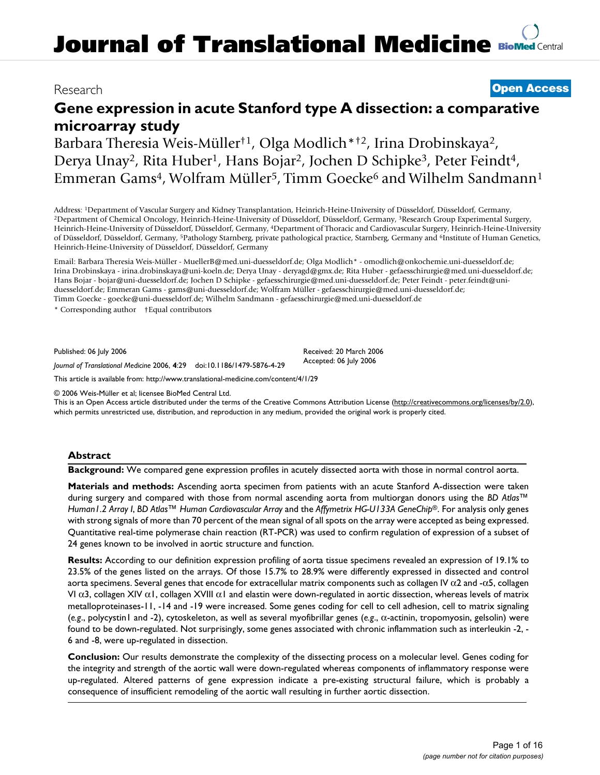# **Journal of Translational Medicine [BioMed](http://www.biomedcentral.com/) Central**

# Research **[Open Access](http://www.biomedcentral.com/info/about/charter/)**

# **Gene expression in acute Stanford type A dissection: a comparative microarray study**

Barbara Theresia Weis-Müller†1, Olga Modlich\*†2, Irina Drobinskaya2, Derya Unay<sup>2</sup>, Rita Huber<sup>1</sup>, Hans Bojar<sup>2</sup>, Jochen D Schipke<sup>3</sup>, Peter Feindt<sup>4</sup>, Emmeran Gams<sup>4</sup>, Wolfram Müller<sup>5</sup>, Timm Goecke<sup>6</sup> and Wilhelm Sandmann<sup>1</sup>

Address: <sup>1</sup>Department of Vascular Surgery and Kidney Transplantation, Heinrich-Heine-University of Düsseldorf, Düsseldorf, Germany,<br><sup>2</sup>Department of Chemical Oncology, Heinrich-Heine-University of Düsseldorf, Düsseldorf, Heinrich-Heine-University of Düsseldorf, Düsseldorf, Germany, 4Department of Thoracic and Cardiovascular Surgery, Heinrich-Heine-University of Düsseldorf, Düsseldorf, Germany, 5Pathology Starnberg, private pathological practice, Starnberg, Germany and 6Institute of Human Genetics, Heinrich-Heine-University of Düsseldorf, Düsseldorf, Germany

Email: Barbara Theresia Weis-Müller - MuellerB@med.uni-duesseldorf.de; Olga Modlich\* - omodlich@onkochemie.uni-duesseldorf.de; Irina Drobinskaya - irina.drobinskaya@uni-koeln.de; Derya Unay - deryagd@gmx.de; Rita Huber - gefaesschirurgie@med.uni-duesseldorf.de; Hans Bojar - bojar@uni-duesseldorf.de; Jochen D Schipke - gefaesschirurgie@med.uni-duesseldorf.de; Peter Feindt - peter.feindt@uniduesseldorf.de; Emmeran Gams - gams@uni-duesseldorf.de; Wolfram Müller - gefaesschirurgie@med.uni-duesseldorf.de; Timm Goecke - goecke@uni-duesseldorf.de; Wilhelm Sandmann - gefaesschirurgie@med.uni-duesseldorf.de

\* Corresponding author †Equal contributors

Published: 06 July 2006

Received: 20 March 2006 Accepted: 06 July 2006

*Journal of Translational Medicine* 2006, **4**:29 doi:10.1186/1479-5876-4-29 [This article is available from: http://www.translational-medicine.com/content/4/1/29](http://www.translational-medicine.com/content/4/1/29)

© 2006 Weis-Müller et al; licensee BioMed Central Ltd.

This is an Open Access article distributed under the terms of the Creative Commons Attribution License [\(http://creativecommons.org/licenses/by/2.0\)](http://creativecommons.org/licenses/by/2.0), which permits unrestricted use, distribution, and reproduction in any medium, provided the original work is properly cited.

#### **Abstract**

**Background:** We compared gene expression profiles in acutely dissected aorta with those in normal control aorta.

**Materials and methods:** Ascending aorta specimen from patients with an acute Stanford A-dissection were taken during surgery and compared with those from normal ascending aorta from multiorgan donors using the *BD Atlas™ Human1.2 Array I*, *BD Atlas™ Human Cardiovascular Array* and the *Affymetrix HG-U133A GeneChip*®. For analysis only genes with strong signals of more than 70 percent of the mean signal of all spots on the array were accepted as being expressed. Quantitative real-time polymerase chain reaction (RT-PCR) was used to confirm regulation of expression of a subset of 24 genes known to be involved in aortic structure and function.

**Results:** According to our definition expression profiling of aorta tissue specimens revealed an expression of 19.1% to 23.5% of the genes listed on the arrays. Of those 15.7% to 28.9% were differently expressed in dissected and control aorta specimens. Several genes that encode for extracellular matrix components such as collagen IV α2 and -α5, collagen VI  $\alpha$ 3, collagen XIV  $\alpha$ I, collagen XVIII  $\alpha$ I and elastin were down-regulated in aortic dissection, whereas levels of matrix metalloproteinases-11, -14 and -19 were increased. Some genes coding for cell to cell adhesion, cell to matrix signaling (*e.g*., polycystin1 and -2), cytoskeleton, as well as several myofibrillar genes (*e.g*., α-actinin, tropomyosin, gelsolin) were found to be down-regulated. Not surprisingly, some genes associated with chronic inflammation such as interleukin -2, - 6 and -8, were up-regulated in dissection.

**Conclusion:** Our results demonstrate the complexity of the dissecting process on a molecular level. Genes coding for the integrity and strength of the aortic wall were down-regulated whereas components of inflammatory response were up-regulated. Altered patterns of gene expression indicate a pre-existing structural failure, which is probably a consequence of insufficient remodeling of the aortic wall resulting in further aortic dissection.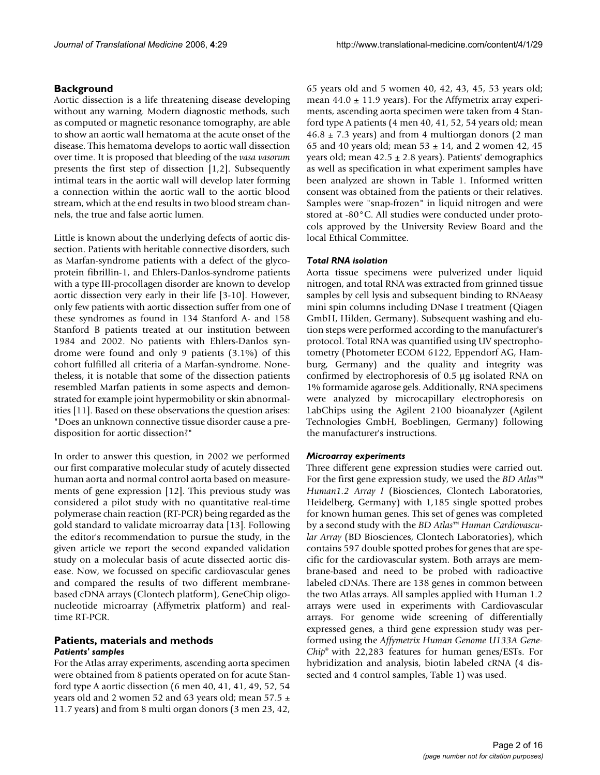#### **Background**

Aortic dissection is a life threatening disease developing without any warning. Modern diagnostic methods, such as computed or magnetic resonance tomography, are able to show an aortic wall hematoma at the acute onset of the disease. This hematoma develops to aortic wall dissection over time. It is proposed that bleeding of the *vasa vasorum* presents the first step of dissection [1,2]. Subsequently intimal tears in the aortic wall will develop later forming a connection within the aortic wall to the aortic blood stream, which at the end results in two blood stream channels, the true and false aortic lumen.

Little is known about the underlying defects of aortic dissection. Patients with heritable connective disorders, such as Marfan-syndrome patients with a defect of the glycoprotein fibrillin-1, and Ehlers-Danlos-syndrome patients with a type III-procollagen disorder are known to develop aortic dissection very early in their life [3-10]. However, only few patients with aortic dissection suffer from one of these syndromes as found in 134 Stanford A- and 158 Stanford B patients treated at our institution between 1984 and 2002. No patients with Ehlers-Danlos syndrome were found and only 9 patients (3.1%) of this cohort fulfilled all criteria of a Marfan-syndrome. Nonetheless, it is notable that some of the dissection patients resembled Marfan patients in some aspects and demonstrated for example joint hypermobility or skin abnormalities [11]. Based on these observations the question arises: "Does an unknown connective tissue disorder cause a predisposition for aortic dissection?"

In order to answer this question, in 2002 we performed our first comparative molecular study of acutely dissected human aorta and normal control aorta based on measurements of gene expression [12]. This previous study was considered a pilot study with no quantitative real-time polymerase chain reaction (RT-PCR) being regarded as the gold standard to validate microarray data [13]. Following the editor's recommendation to pursue the study, in the given article we report the second expanded validation study on a molecular basis of acute dissected aortic disease. Now, we focussed on specific cardiovascular genes and compared the results of two different membranebased cDNA arrays (Clontech platform), GeneChip oligonucleotide microarray (Affymetrix platform) and realtime RT-PCR.

#### **Patients, materials and methods** *Patients' samples*

For the Atlas array experiments, ascending aorta specimen were obtained from 8 patients operated on for acute Stanford type A aortic dissection (6 men 40, 41, 41, 49, 52, 54 years old and 2 women 52 and 63 years old; mean 57.5 ± 11.7 years) and from 8 multi organ donors (3 men 23, 42,

65 years old and 5 women 40, 42, 43, 45, 53 years old; mean  $44.0 \pm 11.9$  years). For the Affymetrix array experiments, ascending aorta specimen were taken from 4 Stanford type A patients (4 men 40, 41, 52, 54 years old; mean  $46.8 \pm 7.3$  years) and from 4 multiorgan donors (2 man 65 and 40 years old; mean  $53 \pm 14$ , and 2 women 42, 45 years old; mean  $42.5 \pm 2.8$  years). Patients' demographics as well as specification in what experiment samples have been analyzed are shown in Table 1. Informed written consent was obtained from the patients or their relatives. Samples were "snap-frozen" in liquid nitrogen and were stored at -80°C. All studies were conducted under protocols approved by the University Review Board and the local Ethical Committee.

#### *Total RNA isolation*

Aorta tissue specimens were pulverized under liquid nitrogen, and total RNA was extracted from grinned tissue samples by cell lysis and subsequent binding to RNAeasy mini spin columns including DNase I treatment (Qiagen GmbH, Hilden, Germany). Subsequent washing and elution steps were performed according to the manufacturer's protocol. Total RNA was quantified using UV spectrophotometry (Photometer ECOM 6122, Eppendorf AG, Hamburg, Germany) and the quality and integrity was confirmed by electrophoresis of 0.5 μg isolated RNA on 1% formamide agarose gels. Additionally, RNA specimens were analyzed by microcapillary electrophoresis on LabChips using the Agilent 2100 bioanalyzer (Agilent Technologies GmbH, Boeblingen, Germany) following the manufacturer's instructions.

#### *Microarray experiments*

Three different gene expression studies were carried out. For the first gene expression study, we used the *BD Atlas™ Human1.2 Array I* (Biosciences, Clontech Laboratories, Heidelberg, Germany) with 1,185 single spotted probes for known human genes. This set of genes was completed by a second study with the *BD Atlas™ Human Cardiovascular Array* (BD Biosciences, Clontech Laboratories), which contains 597 double spotted probes for genes that are specific for the cardiovascular system. Both arrays are membrane-based and need to be probed with radioactive labeled cDNAs. There are 138 genes in common between the two Atlas arrays. All samples applied with Human 1.2 arrays were used in experiments with Cardiovascular arrays. For genome wide screening of differentially expressed genes, a third gene expression study was performed using the *Affymetrix Human Genome U133A Gene-Chip*® with 22,283 features for human genes/ESTs. For hybridization and analysis, biotin labeled cRNA (4 dissected and 4 control samples, Table 1) was used.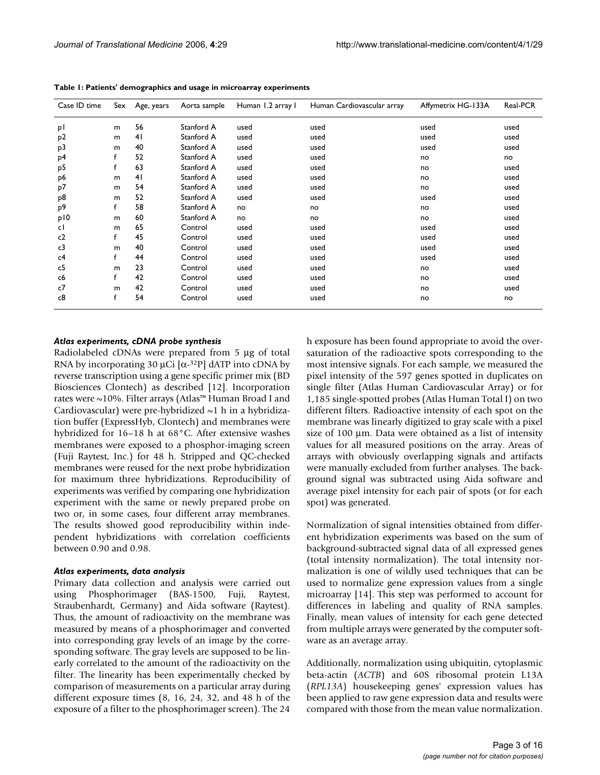| Case ID time   | Sex | Age, years | Aorta sample | Human 1.2 array 1 | Human Cardiovascular array | Affymetrix HG-133A | Real-PCR |
|----------------|-----|------------|--------------|-------------------|----------------------------|--------------------|----------|
| pl             | m   | 56         | Stanford A   | used              | used                       | used               | used     |
| p2             | m   | 41         | Stanford A   | used              | used                       | used               | used     |
| p3             | m   | 40         | Stanford A   | used              | used                       | used               | used     |
| p4             |     | 52         | Stanford A   | used              | used                       | no                 | no       |
| p <sub>5</sub> |     | 63         | Stanford A   | used              | used                       | no                 | used     |
| p6             | m   | 41         | Stanford A   | used              | used                       | no                 | used     |
| р7             | m   | 54         | Stanford A   | used              | used                       | no                 | used     |
| p8             | m   | 52         | Stanford A   | used              | used                       | used               | used     |
| p9             | f   | 58         | Stanford A   | no                | no                         | no                 | used     |
| p10            | m   | 60         | Stanford A   | no                | no                         | no                 | used     |
| cl             | m   | 65         | Control      | used              | used                       | used               | used     |
| c2             | f   | 45         | Control      | used              | used                       | used               | used     |
| c3             | m   | 40         | Control      | used              | used                       | used               | used     |
| c4             | f   | 44         | Control      | used              | used                       | used               | used     |
| c5             | m   | 23         | Control      | used              | used                       | no                 | used     |
| c6             | f   | 42         | Control      | used              | used                       | no                 | used     |
| c7             | m   | 42         | Control      | used              | used                       | no                 | used     |
| c8             | f   | 54         | Control      | used              | used                       | no                 | no       |

**Table 1: Patients' demographics and usage in microarray experiments**

#### *Atlas experiments, cDNA probe synthesis*

Radiolabeled cDNAs were prepared from 5 μg of total RNA by incorporating 30  $\mu$ Ci  $\left[\alpha^{-32}P\right]$  dATP into cDNA by reverse transcription using a gene specific primer mix (BD Biosciences Clontech) as described [12]. Incorporation rates were ~10%. Filter arrays (Atlas™ Human Broad I and Cardiovascular) were pre-hybridized  $\sim$ 1 h in a hybridization buffer (ExpressHyb, Clontech) and membranes were hybridized for 16–18 h at 68°C. After extensive washes membranes were exposed to a phosphor-imaging screen (Fuji Raytest, Inc.) for 48 h. Stripped and QC-checked membranes were reused for the next probe hybridization for maximum three hybridizations. Reproducibility of experiments was verified by comparing one hybridization experiment with the same or newly prepared probe on two or, in some cases, four different array membranes. The results showed good reproducibility within independent hybridizations with correlation coefficients between 0.90 and 0.98.

#### *Atlas experiments, data analysis*

Primary data collection and analysis were carried out using Phosphorimager (BAS-1500, Fuji, Raytest, Straubenhardt, Germany) and Aida software (Raytest). Thus, the amount of radioactivity on the membrane was measured by means of a phosphorimager and converted into corresponding gray levels of an image by the corresponding software. The gray levels are supposed to be linearly correlated to the amount of the radioactivity on the filter. The linearity has been experimentally checked by comparison of measurements on a particular array during different exposure times (8, 16, 24, 32, and 48 h of the exposure of a filter to the phosphorimager screen). The 24

h exposure has been found appropriate to avoid the oversaturation of the radioactive spots corresponding to the most intensive signals. For each sample, we measured the pixel intensity of the 597 genes spotted in duplicates on single filter (Atlas Human Cardiovascular Array) or for 1,185 single-spotted probes (Atlas Human Total I) on two different filters. Radioactive intensity of each spot on the membrane was linearly digitized to gray scale with a pixel size of 100 μm. Data were obtained as a list of intensity values for all measured positions on the array. Areas of arrays with obviously overlapping signals and artifacts were manually excluded from further analyses. The background signal was subtracted using Aida software and average pixel intensity for each pair of spots (or for each spot) was generated.

Normalization of signal intensities obtained from different hybridization experiments was based on the sum of background-subtracted signal data of all expressed genes (total intensity normalization). The total intensity normalization is one of wildly used techniques that can be used to normalize gene expression values from a single microarray [14]. This step was performed to account for differences in labeling and quality of RNA samples. Finally, mean values of intensity for each gene detected from multiple arrays were generated by the computer software as an average array.

Additionally, normalization using ubiquitin, cytoplasmic beta-actin (*ACTB*) and 60S ribosomal protein L13A (*RPL13A*) housekeeping genes' expression values has been applied to raw gene expression data and results were compared with those from the mean value normalization.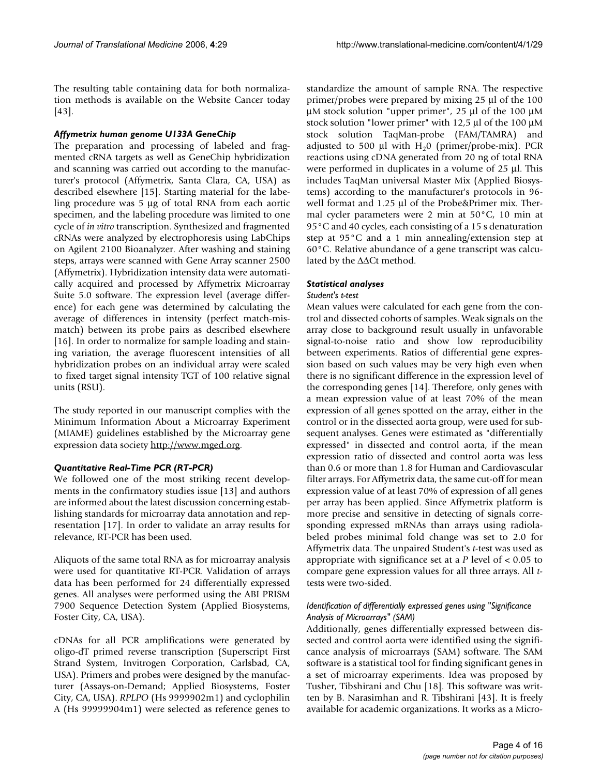The resulting table containing data for both normalization methods is available on the Website Cancer today [43].

#### *Affymetrix human genome U133A GeneChip*

The preparation and processing of labeled and fragmented cRNA targets as well as GeneChip hybridization and scanning was carried out according to the manufacturer's protocol (Affymetrix, Santa Clara, CA, USA) as described elsewhere [15]. Starting material for the labeling procedure was 5 μg of total RNA from each aortic specimen, and the labeling procedure was limited to one cycle of *in vitro* transcription. Synthesized and fragmented cRNAs were analyzed by electrophoresis using LabChips on Agilent 2100 Bioanalyzer. After washing and staining steps, arrays were scanned with Gene Array scanner 2500 (Affymetrix). Hybridization intensity data were automatically acquired and processed by Affymetrix Microarray Suite 5.0 software. The expression level (average difference) for each gene was determined by calculating the average of differences in intensity (perfect match-mismatch) between its probe pairs as described elsewhere [16]. In order to normalize for sample loading and staining variation, the average fluorescent intensities of all hybridization probes on an individual array were scaled to fixed target signal intensity TGT of 100 relative signal units (RSU).

The study reported in our manuscript complies with the Minimum Information About a Microarray Experiment (MIAME) guidelines established by the Microarray gene expression data society [http://www.mged.org.](http://www.mged.org)

#### *Quantitative Real-Time PCR (RT-PCR)*

We followed one of the most striking recent developments in the confirmatory studies issue [13] and authors are informed about the latest discussion concerning establishing standards for microarray data annotation and representation [17]. In order to validate an array results for relevance, RT-PCR has been used.

Aliquots of the same total RNA as for microarray analysis were used for quantitative RT-PCR. Validation of arrays data has been performed for 24 differentially expressed genes. All analyses were performed using the ABI PRISM 7900 Sequence Detection System (Applied Biosystems, Foster City, CA, USA).

cDNAs for all PCR amplifications were generated by oligo-dT primed reverse transcription (Superscript First Strand System, Invitrogen Corporation, Carlsbad, CA, USA). Primers and probes were designed by the manufacturer (Assays-on-Demand; Applied Biosystems, Foster City, CA, USA). *RPLPO* (Hs 9999902m1) and cyclophilin A (Hs 99999904m1) were selected as reference genes to

standardize the amount of sample RNA. The respective primer/probes were prepared by mixing 25 μl of the 100 μM stock solution "upper primer", 25 μl of the 100 μM stock solution "lower primer" with 12,5 μl of the 100 μM stock solution TaqMan-probe (FAM/TAMRA) and adjusted to 500 μl with  $H<sub>2</sub>0$  (primer/probe-mix). PCR reactions using cDNA generated from 20 ng of total RNA were performed in duplicates in a volume of 25 μl. This includes TaqMan universal Master Mix (Applied Biosystems) according to the manufacturer's protocols in 96 well format and 1.25 μl of the Probe&Primer mix. Thermal cycler parameters were 2 min at 50°C, 10 min at 95°C and 40 cycles, each consisting of a 15 s denaturation step at 95°C and a 1 min annealing/extension step at 60°C. Relative abundance of a gene transcript was calculated by the ΔΔCt method.

#### *Statistical analyses*

#### *Student's t-test*

Mean values were calculated for each gene from the control and dissected cohorts of samples. Weak signals on the array close to background result usually in unfavorable signal-to-noise ratio and show low reproducibility between experiments. Ratios of differential gene expression based on such values may be very high even when there is no significant difference in the expression level of the corresponding genes [14]. Therefore, only genes with a mean expression value of at least 70% of the mean expression of all genes spotted on the array, either in the control or in the dissected aorta group, were used for subsequent analyses. Genes were estimated as "differentially expressed" in dissected and control aorta, if the mean expression ratio of dissected and control aorta was less than 0.6 or more than 1.8 for Human and Cardiovascular filter arrays. For Affymetrix data, the same cut-off for mean expression value of at least 70% of expression of all genes per array has been applied. Since Affymetrix platform is more precise and sensitive in detecting of signals corresponding expressed mRNAs than arrays using radiolabeled probes minimal fold change was set to 2.0 for Affymetrix data. The unpaired Student's *t*-test was used as appropriate with significance set at a *P* level of < 0.05 to compare gene expression values for all three arrays. All *t*tests were two-sided.

#### *Identification of differentially expressed genes using "Significance Analysis of Microarrays" (SAM)*

Additionally, genes differentially expressed between dissected and control aorta were identified using the significance analysis of microarrays (SAM) software. The SAM software is a statistical tool for finding significant genes in a set of microarray experiments. Idea was proposed by Tusher, Tibshirani and Chu [18]. This software was written by B. Narasimhan and R. Tibshirani [43]. It is freely available for academic organizations. It works as a Micro-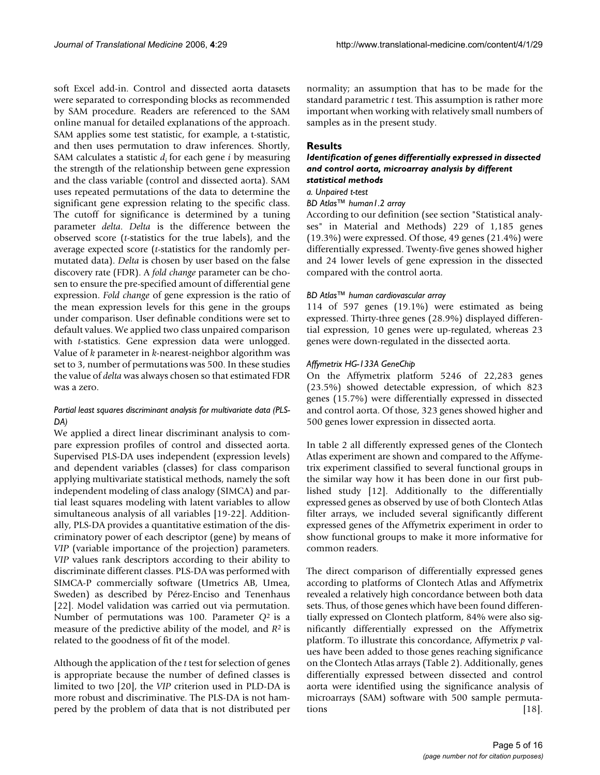soft Excel add-in. Control and dissected aorta datasets were separated to corresponding blocks as recommended by SAM procedure. Readers are referenced to the SAM online manual for detailed explanations of the approach. SAM applies some test statistic, for example, a t-statistic, and then uses permutation to draw inferences. Shortly, SAM calculates a statistic  $d_i$  for each gene  $i$  by measuring the strength of the relationship between gene expression and the class variable (control and dissected aorta). SAM uses repeated permutations of the data to determine the significant gene expression relating to the specific class. The cutoff for significance is determined by a tuning parameter *delta*. *Delta* is the difference between the observed score (*t*-statistics for the true labels), and the average expected score (*t*-statistics for the randomly permutated data). *Delta* is chosen by user based on the false discovery rate (FDR). A *fold change* parameter can be chosen to ensure the pre-specified amount of differential gene expression. *Fold change* of gene expression is the ratio of the mean expression levels for this gene in the groups under comparison. User definable conditions were set to default values. We applied two class unpaired comparison with *t*-statistics. Gene expression data were unlogged. Value of *k* parameter in *k*-nearest-neighbor algorithm was set to 3, number of permutations was 500. In these studies the value of *delta* was always chosen so that estimated FDR was a zero.

#### *Partial least squares discriminant analysis for multivariate data (PLS-DA)*

We applied a direct linear discriminant analysis to compare expression profiles of control and dissected aorta. Supervised PLS-DA uses independent (expression levels) and dependent variables (classes) for class comparison applying multivariate statistical methods, namely the soft independent modeling of class analogy (SIMCA) and partial least squares modeling with latent variables to allow simultaneous analysis of all variables [19-22]. Additionally, PLS-DA provides a quantitative estimation of the discriminatory power of each descriptor (gene) by means of *VIP* (variable importance of the projection) parameters. *VIP* values rank descriptors according to their ability to discriminate different classes. PLS-DA was performed with SIMCA-P commercially software (Umetrics AB, Umea, Sweden) as described by Pérez-Enciso and Tenenhaus [22]. Model validation was carried out via permutation. Number of permutations was 100. Parameter *Q*2 is a measure of the predictive ability of the model, and *R*2 is related to the goodness of fit of the model.

Although the application of the *t* test for selection of genes is appropriate because the number of defined classes is limited to two [20], the *VIP* criterion used in PLD-DA is more robust and discriminative. The PLS-DA is not hampered by the problem of data that is not distributed per normality; an assumption that has to be made for the standard parametric *t* test. This assumption is rather more important when working with relatively small numbers of samples as in the present study.

#### **Results**

#### *Identification of genes differentially expressed in dissected and control aorta, microarray analysis by different statistical methods*

#### *a. Unpaired t-test*

#### *BD Atlas™ human1.2 array*

According to our definition (see section "Statistical analyses" in Material and Methods) 229 of 1,185 genes (19.3%) were expressed. Of those, 49 genes (21.4%) were differentially expressed. Twenty-five genes showed higher and 24 lower levels of gene expression in the dissected compared with the control aorta.

#### *BD Atlas™ human cardiovascular array*

114 of 597 genes (19.1%) were estimated as being expressed. Thirty-three genes (28.9%) displayed differential expression, 10 genes were up-regulated, whereas 23 genes were down-regulated in the dissected aorta.

#### *Affymetrix HG-133A GeneChip*

On the Affymetrix platform 5246 of 22,283 genes (23.5%) showed detectable expression, of which 823 genes (15.7%) were differentially expressed in dissected and control aorta. Of those, 323 genes showed higher and 500 genes lower expression in dissected aorta.

In table 2 all differently expressed genes of the Clontech Atlas experiment are shown and compared to the Affymetrix experiment classified to several functional groups in the similar way how it has been done in our first published study [12]. Additionally to the differentially expressed genes as observed by use of both Clontech Atlas filter arrays, we included several significantly different expressed genes of the Affymetrix experiment in order to show functional groups to make it more informative for common readers.

The direct comparison of differentially expressed genes according to platforms of Clontech Atlas and Affymetrix revealed a relatively high concordance between both data sets. Thus, of those genes which have been found differentially expressed on Clontech platform, 84% were also significantly differentially expressed on the Affymetrix platform. To illustrate this concordance, Affymetrix *p* values have been added to those genes reaching significance on the Clontech Atlas arrays (Table 2). Additionally, genes differentially expressed between dissected and control aorta were identified using the significance analysis of microarrays (SAM) software with 500 sample permuta- $\text{tions}$  [18].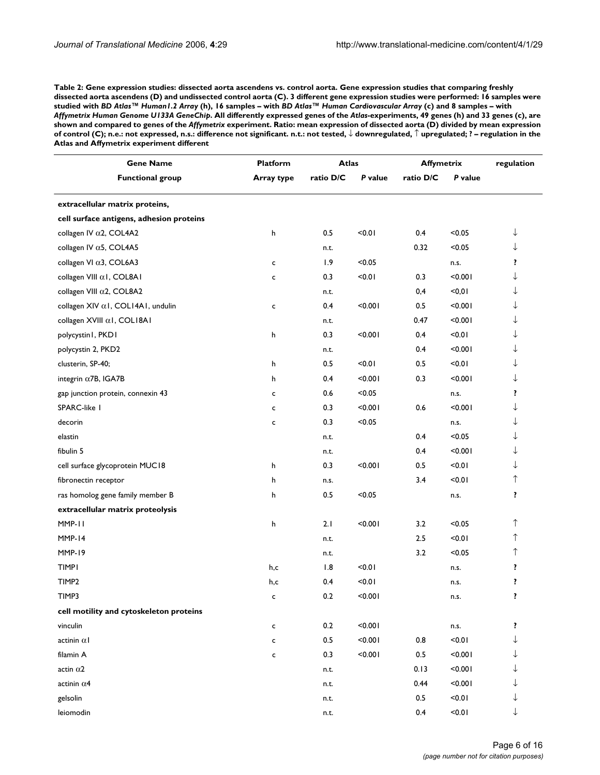**Table 2: Gene expression studies: dissected aorta ascendens vs. control aorta. Gene expression studies that comparing freshly dissected aorta ascendens (D) and undissected control aorta (C). 3 different gene expression studies were performed: 16 samples were studied with** *BD Atlas™ Human1.2 Array* **(h), 16 samples – with** *BD Atlas™ Human Cardiovascular Array* **(c) and 8 samples – with**  *Affymetrix Human Genome U133A GeneChip***. All differently expressed genes of the** *Atlas***-experiments, 49 genes (h) and 33 genes (c), are shown and compared to genes of the** *Affymetrix* **experiment. Ratio: mean expression of dissected aorta (D) divided by mean expression of control (C); n.e.: not expressed, n.s.: difference not significant. n.t.: not tested,** ↓ **downregulated,** ↑ **upregulated; ? – regulation in the Atlas and Affymetrix experiment different**

| <b>Gene Name</b>                           | Platform     | <b>Atlas</b> |         | <b>Affymetrix</b> |         | regulation |
|--------------------------------------------|--------------|--------------|---------|-------------------|---------|------------|
| <b>Functional group</b>                    | Array type   | ratio D/C    | P value | ratio D/C         | P value |            |
| extracellular matrix proteins,             |              |              |         |                   |         |            |
| cell surface antigens, adhesion proteins   |              |              |         |                   |         |            |
| collagen IV $\alpha$ 2, COL4A2             | h            | 0.5          | < 0.01  | 0.4               | < 0.05  | ↓          |
| collagen IV a5, COL4A5                     |              | n.t.         |         | 0.32              | < 0.05  | ↓          |
| collagen VI α3, COL6A3                     | c            | 1.9          | < 0.05  |                   | n.s.    | ı          |
| collagen VIII α1, COL8A1                   | c            | 0.3          | < 0.01  | 0.3               | < 0.001 | ↓          |
| collagen VIII α2, COL8A2                   |              | n.t.         |         | 0,4               | < 0, 01 | ↓          |
| collagen $XIV \alpha I$ , COL14A1, undulin | $\mathsf{c}$ | 0.4          | < 0.001 | 0.5               | < 0.001 | ↓          |
| collagen XVIII α1, COL18A1                 |              | n.t.         |         | 0.47              | < 0.001 |            |
| polycystin1, PKD1                          | h            | 0.3          | < 0.001 | 0.4               | < 0.01  |            |
| polycystin 2, PKD2                         |              | n.t.         |         | 0.4               | < 0.001 |            |
| clusterin, SP-40;                          | h            | 0.5          | < 0.01  | 0.5               | < 0.01  |            |
| integrin $\alpha$ 7B, IGA7B                | h            | 0.4          | < 0.001 | 0.3               | < 0.001 | ↓          |
| gap junction protein, connexin 43          | c            | 0.6          | < 0.05  |                   | n.s.    | ı          |
| SPARC-like I                               | c            | 0.3          | < 0.001 | 0.6               | < 0.001 | ↓          |
| decorin                                    | c            | 0.3          | < 0.05  |                   | n.s.    | ↓          |
| elastin                                    |              | n.t.         |         | 0.4               | < 0.05  | ↓          |
| fibulin 5                                  |              | n.t.         |         | 0.4               | < 0.001 | ↓          |
| cell surface glycoprotein MUC18            | h            | 0.3          | < 0.001 | 0.5               | < 0.01  | ↓          |
| fibronectin receptor                       | h            | n.s.         |         | 3.4               | < 0.01  | ↑          |
| ras homolog gene family member B           | h            | 0.5          | < 0.05  |                   | n.s.    | ı          |
| extracellular matrix proteolysis           |              |              |         |                   |         |            |
| MMP-11                                     | h            | 2.1          | < 0.001 | 3.2               | < 0.05  | ↑          |
| $MMP-14$                                   |              | n.t.         |         | 2.5               | < 0.01  | ↑          |
| <b>MMP-19</b>                              |              | n.t.         |         | 3.2               | < 0.05  | ↑          |
| <b>TIMPI</b>                               | h,c          | 1.8          | < 0.01  |                   | n.s.    | ı          |
| TIMP <sub>2</sub>                          | h,c          | 0.4          | < 0.01  |                   | n.s.    | ı          |
| TIMP3                                      | $\mathsf{c}$ | $0.2\,$      | < 0.001 |                   | n.s.    | ŗ          |
| cell motility and cytoskeleton proteins    |              |              |         |                   |         |            |
| vinculin                                   | c            | $0.2\,$      | < 0.001 |                   | n.s.    | ı          |
| $actinin \alpha l$                         | c            | $0.5\,$      | < 0.001 | $0.8\,$           | < 0.01  |            |
| filamin A                                  | $\mathsf{c}$ | 0.3          | < 0.001 | 0.5               | < 0.001 |            |
| actin $\alpha$ 2                           |              | n.t.         |         | 0.13              | < 0.001 |            |
| actinin $\alpha$ 4                         |              | n.t.         |         | 0.44              | < 0.001 |            |
| gelsolin                                   |              | n.t.         |         | $0.5\,$           | < 0.01  |            |
| leiomodin                                  |              | n.t.         |         | 0.4               | < 0.01  | ↓          |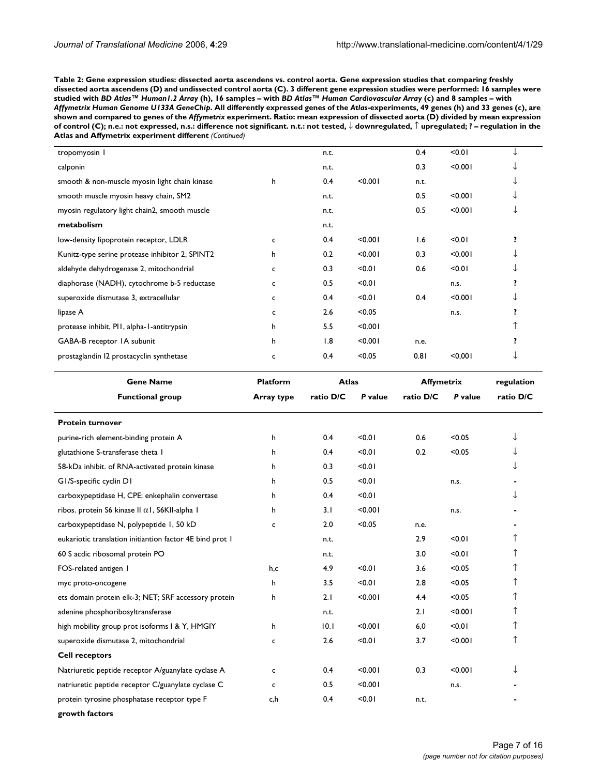**Table 2: Gene expression studies: dissected aorta ascendens vs. control aorta. Gene expression studies that comparing freshly dissected aorta ascendens (D) and undissected control aorta (C). 3 different gene expression studies were performed: 16 samples were studied with** *BD Atlas™ Human1.2 Array* **(h), 16 samples – with** *BD Atlas™ Human Cardiovascular Array* **(c) and 8 samples – with**  *Affymetrix Human Genome U133A GeneChip***. All differently expressed genes of the** *Atlas***-experiments, 49 genes (h) and 33 genes (c), are shown and compared to genes of the** *Affymetrix* **experiment. Ratio: mean expression of dissected aorta (D) divided by mean expression of control (C); n.e.: not expressed, n.s.: difference not significant. n.t.: not tested,** ↓ **downregulated,** ↑ **upregulated; ? – regulation in the Atlas and Affymetrix experiment different** *(Continued)*

| tropomyosin I                                   |   | n.t. |         | 0.4  | < 0.01  |   |
|-------------------------------------------------|---|------|---------|------|---------|---|
| calponin                                        |   | n.t. |         | 0.3  | < 0.001 | ◡ |
| smooth & non-muscle myosin light chain kinase   | h | 0.4  | < 0.001 | n.t. |         |   |
| smooth muscle myosin heavy chain, SM2           |   | n.t. |         | 0.5  | < 0.001 | ↓ |
| myosin regulatory light chain2, smooth muscle   |   | n.t. |         | 0.5  | < 0.001 | ↓ |
| metabolism                                      |   | n.t. |         |      |         |   |
| low-density lipoprotein receptor, LDLR          | c | 0.4  | < 0.001 | 1.6  | < 0.01  | ? |
| Kunitz-type serine protease inhibitor 2, SPINT2 | h | 0.2  | < 0.001 | 0.3  | < 0.001 |   |
| aldehyde dehydrogenase 2, mitochondrial         | c | 0.3  | < 0.01  | 0.6  | < 0.01  | ↓ |
| diaphorase (NADH), cytochrome b-5 reductase     | c | 0.5  | < 0.01  |      | n.s.    | 7 |
| superoxide dismutase 3, extracellular           | c | 0.4  | < 0.01  | 0.4  | < 0.001 | ◡ |
| lipase A                                        | c | 2.6  | < 0.05  |      | n.s.    | 7 |
| protease inhibit, PII, alpha-I-antitrypsin      | h | 5.5  | < 0.001 |      |         | ᠰ |
| GABA-B receptor IA subunit                      | h | 1.8  | < 0.001 | n.e. |         | 7 |
| prostaglandin 12 prostacyclin synthetase        | c | 0.4  | < 0.05  | 0.81 | < 0,001 | ◡ |
|                                                 |   |      |         |      |         |   |

| <b>Gene Name</b>                                         | <b>Platform</b> | <b>Atlas</b> |         | <b>Affymetrix</b> |         | regulation |
|----------------------------------------------------------|-----------------|--------------|---------|-------------------|---------|------------|
| <b>Functional group</b>                                  | Array type      | ratio D/C    | P value | ratio D/C         | P value | ratio D/C  |
| <b>Protein turnover</b>                                  |                 |              |         |                   |         |            |
| purine-rich element-binding protein A                    | h               | 0.4          | < 0.01  | 0.6               | < 0.05  | ↓          |
| glutathione S-transferase theta I                        | h               | 0.4          | < 0.01  | 0.2               | < 0.05  |            |
| 58-kDa inhibit. of RNA-activated protein kinase          | h.              | 0.3          | < 0.01  |                   |         | ↓          |
| G1/S-specific cyclin D1                                  | h               | 0.5          | < 0.01  |                   | n.s.    |            |
| carboxypeptidase H, CPE; enkephalin convertase           | h               | 0.4          | < 0.01  |                   |         |            |
| ribos. protein S6 kinase II $\alpha$ 1, S6KII-alpha I    | h               | 3.1          | < 0.001 |                   | n.s.    |            |
| carboxypeptidase N, polypeptide 1, 50 kD                 | c               | 2.0          | < 0.05  | n.e.              |         |            |
| eukariotic translation initiantion factor 4E bind prot I |                 | n.t.         |         | 2.9               | < 0.01  | ↑          |
| 60 S acdic ribosomal protein PO                          |                 | n.t.         |         | 3.0               | < 0.01  | ↑          |
| FOS-related antigen I                                    | h,c             | 4.9          | < 0.01  | 3.6               | < 0.05  | ↑          |
| myc proto-oncogene                                       | h               | 3.5          | < 0.01  | 2.8               | < 0.05  | ↑          |
| ets domain protein elk-3; NET; SRF accessory protein     | h               | 2.1          | < 0.001 | 4.4               | < 0.05  | ↑          |
| adenine phosphoribosyltransferase                        |                 | n.t.         |         | 2.1               | < 0.001 | ↑          |
| high mobility group prot isoforms I & Y, HMGIY           | h               | 10.1         | < 0.001 | 6,0               | < 0.01  | ↑          |
| superoxide dismutase 2, mitochondrial                    | c               | 2.6          | < 0.01  | 3.7               | < 0.001 | ↑          |
| <b>Cell receptors</b>                                    |                 |              |         |                   |         |            |
| Natriuretic peptide receptor A/guanylate cyclase A       | c               | 0.4          | < 0.001 | 0.3               | < 0.001 | ↓          |
| natriuretic peptide receptor C/guanylate cyclase C       | c               | 0.5          | < 0.001 |                   | n.s.    |            |
| protein tyrosine phosphatase receptor type F             | c,h             | 0.4          | < 0.01  | n.t.              |         |            |
| growth factors                                           |                 |              |         |                   |         |            |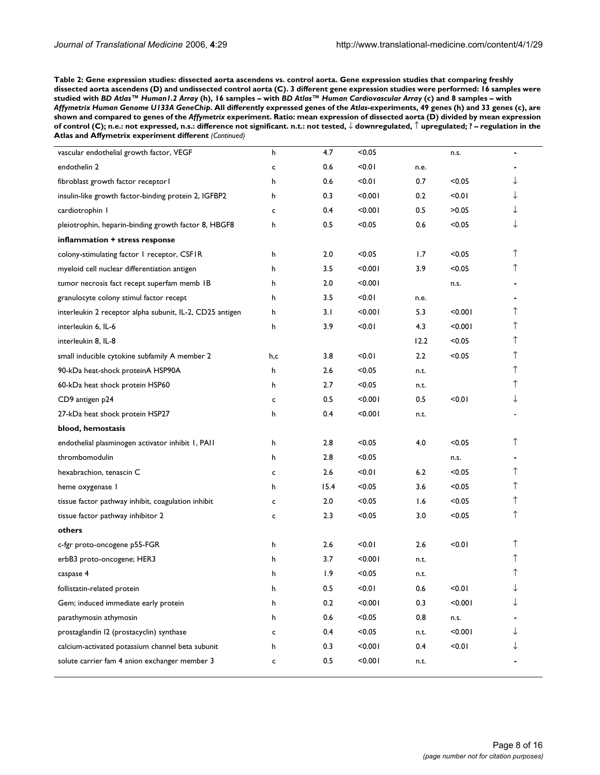**Table 2: Gene expression studies: dissected aorta ascendens vs. control aorta. Gene expression studies that comparing freshly dissected aorta ascendens (D) and undissected control aorta (C). 3 different gene expression studies were performed: 16 samples were studied with** *BD Atlas™ Human1.2 Array* **(h), 16 samples – with** *BD Atlas™ Human Cardiovascular Array* **(c) and 8 samples – with**  *Affymetrix Human Genome U133A GeneChip***. All differently expressed genes of the** *Atlas***-experiments, 49 genes (h) and 33 genes (c), are shown and compared to genes of the** *Affymetrix* **experiment. Ratio: mean expression of dissected aorta (D) divided by mean expression of control (C); n.e.: not expressed, n.s.: difference not significant. n.t.: not tested,** ↓ **downregulated,** ↑ **upregulated; ? – regulation in the Atlas and Affymetrix experiment different** *(Continued)*

| vascular endothelial growth factor, VEGF                 | h   | 4.7     | < 0.05  |         | n.s.    | $\blacksquare$ |
|----------------------------------------------------------|-----|---------|---------|---------|---------|----------------|
| endothelin 2                                             | c   | 0.6     | < 0.01  | n.e.    |         |                |
| fibroblast growth factor receptor I                      | h   | 0.6     | < 0.01  | 0.7     | < 0.05  | ↓              |
| insulin-like growth factor-binding protein 2, IGFBP2     | h   | 0.3     | < 0.001 | 0.2     | < 0.01  | ↓              |
| cardiotrophin 1                                          | c   | 0.4     | < 0.001 | 0.5     | >0.05   | ↓              |
| pleiotrophin, heparin-binding growth factor 8, HBGF8     | h   | 0.5     | < 0.05  | 0.6     | < 0.05  | ↓              |
| inflammation + stress response                           |     |         |         |         |         |                |
| colony-stimulating factor 1 receptor, CSF1R              | h   | 2.0     | < 0.05  | 1.7     | < 0.05  | ↑              |
| myeloid cell nuclear differentiation antigen             | h   | 3.5     | < 0.001 | 3.9     | < 0.05  | ↑              |
| tumor necrosis fact recept superfam memb IB              | h   | 2.0     | < 0.001 |         | n.s.    |                |
| granulocyte colony stimul factor recept                  | h   | 3.5     | < 0.01  | n.e.    |         |                |
| interleukin 2 receptor alpha subunit, IL-2, CD25 antigen | h   | 3.1     | < 0.001 | 5.3     | < 0.001 | ↑              |
| interleukin 6, IL-6                                      | h   | 3.9     | 10.01   | 4.3     | <0.001  | ↑              |
| interleukin 8, IL-8                                      |     |         |         | 12.2    | < 0.05  | ↑              |
| small inducible cytokine subfamily A member 2            | h,c | 3.8     | < 0.01  | 2.2     | < 0.05  | $\uparrow$     |
| 90-kDa heat-shock proteinA HSP90A                        | h   | 2.6     | < 0.05  | n.t.    |         | ↑              |
| 60-kDa heat shock protein HSP60                          | h   | 2.7     | < 0.05  | n.t.    |         | ↑              |
| CD9 antigen p24                                          | c   | 0.5     | < 0.001 | 0.5     | < 0.01  | ↓              |
| 27-kDa heat shock protein HSP27                          | h   | 0.4     | < 0.001 | n.t.    |         |                |
| blood, hemostasis                                        |     |         |         |         |         |                |
| endothelial plasminogen activator inhibit 1, PAII        | h   | 2.8     | < 0.05  | 4.0     | < 0.05  | ↑              |
| thrombomodulin                                           | h   | 2.8     | < 0.05  |         | n.s.    |                |
| hexabrachion, tenascin C                                 | c   | 2.6     | < 0.01  | 6.2     | < 0.05  | ↑              |
| heme oxygenase I                                         | h   | 15.4    | < 0.05  | 3.6     | < 0.05  | ↑              |
| tissue factor pathway inhibit, coagulation inhibit       | c   | 2.0     | < 0.05  | 1.6     | < 0.05  | ↑              |
| tissue factor pathway inhibitor 2                        | c   | 2.3     | < 0.05  | 3.0     | < 0.05  | ↑              |
| others                                                   |     |         |         |         |         |                |
| c-fgr proto-oncogene p55-FGR                             | h   | 2.6     | < 0.01  | 2.6     | < 0.01  | ↑              |
| erbB3 proto-oncogene; HER3                               | h   | 3.7     | < 0.001 | n.t.    |         | ↑              |
| caspase 4                                                | h   | 1.9     | < 0.05  | n.t.    |         | ↑              |
| follistatin-related protein                              | h   | 0.5     | 10.0    | 0.6     | 10.01   |                |
| Gem; induced immediate early protein                     | h   | 0.2     | < 0.001 | $0.3\,$ | < 0.001 |                |
| parathymosin athymosin                                   | h   | 0.6     | < 0.05  | 0.8     | n.s.    |                |
| prostaglandin I2 (prostacyclin) synthase                 | c   | 0.4     | < 0.05  | n.t.    | < 0.001 |                |
| calcium-activated potassium channel beta subunit         | h   | 0.3     | < 0.001 | 0.4     | 10.0    |                |
| solute carrier fam 4 anion exchanger member 3            | c   | $0.5\,$ | < 0.001 | n.t.    |         |                |
|                                                          |     |         |         |         |         |                |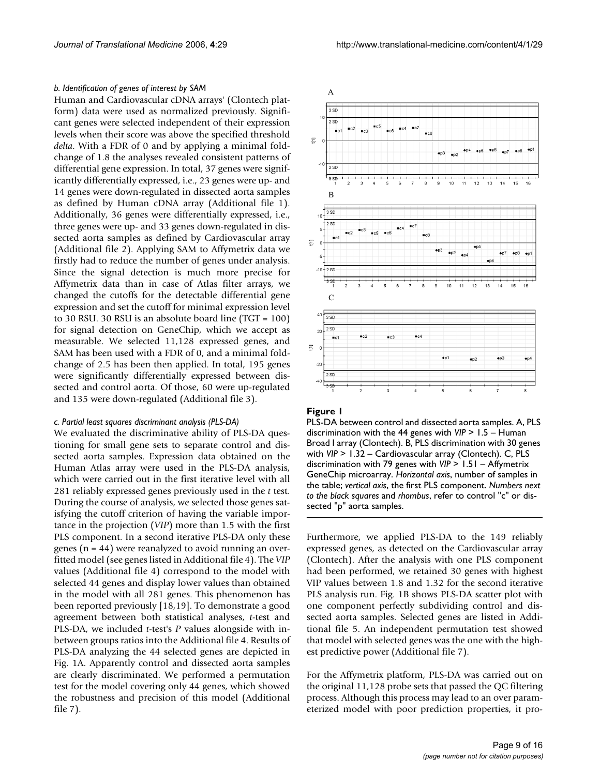#### *b. Identification of genes of interest by SAM*

Human and Cardiovascular cDNA arrays' (Clontech platform) data were used as normalized previously. Significant genes were selected independent of their expression levels when their score was above the specified threshold *delta*. With a FDR of 0 and by applying a minimal foldchange of 1.8 the analyses revealed consistent patterns of differential gene expression. In total, 37 genes were significantly differentially expressed, i.e., 23 genes were up- and 14 genes were down-regulated in dissected aorta samples as defined by Human cDNA array (Additional file 1). Additionally, 36 genes were differentially expressed, i.e., three genes were up- and 33 genes down-regulated in dissected aorta samples as defined by Cardiovascular array (Additional file 2). Applying SAM to Affymetrix data we firstly had to reduce the number of genes under analysis. Since the signal detection is much more precise for Affymetrix data than in case of Atlas filter arrays, we changed the cutoffs for the detectable differential gene expression and set the cutoff for minimal expression level to 30 RSU. 30 RSU is an absolute board line (TGT = 100) for signal detection on GeneChip, which we accept as measurable. We selected 11,128 expressed genes, and SAM has been used with a FDR of 0, and a minimal foldchange of 2.5 has been then applied. In total, 195 genes were significantly differentially expressed between dissected and control aorta. Of those, 60 were up-regulated and 135 were down-regulated (Additional file 3).

#### *c. Partial least squares discriminant analysis (PLS-DA)*

We evaluated the discriminative ability of PLS-DA questioning for small gene sets to separate control and dissected aorta samples. Expression data obtained on the Human Atlas array were used in the PLS-DA analysis, which were carried out in the first iterative level with all 281 reliably expressed genes previously used in the *t* test. During the course of analysis, we selected those genes satisfying the cutoff criterion of having the variable importance in the projection (*VIP*) more than 1.5 with the first PLS component. In a second iterative PLS-DA only these genes ( $n = 44$ ) were reanalyzed to avoid running an overfitted model (see genes listed in Additional file 4). The *VIP* values (Additional file 4) correspond to the model with selected 44 genes and display lower values than obtained in the model with all 281 genes. This phenomenon has been reported previously [18,19]. To demonstrate a good agreement between both statistical analyses, *t*-test and PLS-DA, we included *t*-test's *P* values alongside with inbetween groups ratios into the Additional file 4. Results of PLS-DA analyzing the 44 selected genes are depicted in Fig. 1A. Apparently control and dissected aorta samples are clearly discriminated. We performed a permutation test for the model covering only 44 genes, which showed the robustness and precision of this model (Additional file 7).



#### **Figure 1**

PLS-DA between control and dissected aorta samples. A, PLS discrimination with the 44 genes with *VIP* > 1.5 – Human Broad I array (Clontech). B, PLS discrimination with 30 genes with *VIP* > 1.32 – Cardiovascular array (Clontech). C, PLS discrimination with 79 genes with *VIP* > 1.51 – Affymetrix GeneChip microarray. *Horizontal axis*, number of samples in the table; *vertical axis*, the first PLS component. *Numbers next to the black squares* and *rhombus*, refer to control "c" or dissected "p" aorta samples.

Furthermore, we applied PLS-DA to the 149 reliably expressed genes, as detected on the Cardiovascular array (Clontech). After the analysis with one PLS component had been performed, we retained 30 genes with highest VIP values between 1.8 and 1.32 for the second iterative PLS analysis run. Fig. 1B shows PLS-DA scatter plot with one component perfectly subdividing control and dissected aorta samples. Selected genes are listed in Additional file 5. An independent permutation test showed that model with selected genes was the one with the highest predictive power (Additional file 7).

For the Affymetrix platform, PLS-DA was carried out on the original 11,128 probe sets that passed the QC filtering process. Although this process may lead to an over parameterized model with poor prediction properties, it pro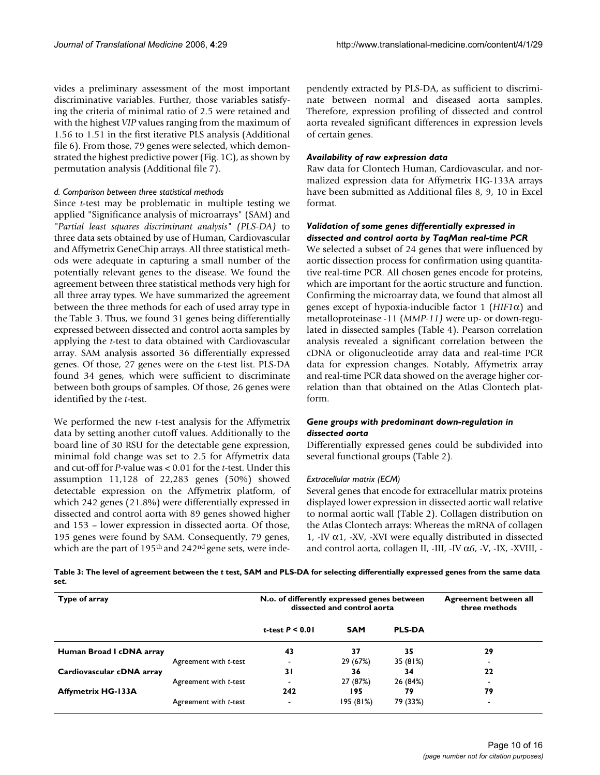vides a preliminary assessment of the most important discriminative variables. Further, those variables satisfying the criteria of minimal ratio of 2.5 were retained and with the highest *VIP* values ranging from the maximum of 1.56 to 1.51 in the first iterative PLS analysis (Additional file 6). From those, 79 genes were selected, which demonstrated the highest predictive power (Fig. 1C), as shown by permutation analysis (Additional file 7).

#### *d. Comparison between three statistical methods*

Since *t*-test may be problematic in multiple testing we applied "Significance analysis of microarrays" (SAM) and *"Partial least squares discriminant analysis" (PLS-DA)* to three data sets obtained by use of Human, Cardiovascular and Affymetrix GeneChip arrays. All three statistical methods were adequate in capturing a small number of the potentially relevant genes to the disease. We found the agreement between three statistical methods very high for all three array types. We have summarized the agreement between the three methods for each of used array type in the Table 3. Thus, we found 31 genes being differentially expressed between dissected and control aorta samples by applying the *t*-test to data obtained with Cardiovascular array. SAM analysis assorted 36 differentially expressed genes. Of those, 27 genes were on the *t*-test list. PLS-DA found 34 genes, which were sufficient to discriminate between both groups of samples. Of those, 26 genes were identified by the *t*-test.

We performed the new *t*-test analysis for the Affymetrix data by setting another cutoff values. Additionally to the board line of 30 RSU for the detectable gene expression, minimal fold change was set to 2.5 for Affymetrix data and cut-off for *P*-value was < 0.01 for the *t*-test. Under this assumption 11,128 of 22,283 genes (50%) showed detectable expression on the Affymetrix platform, of which 242 genes (21.8%) were differentially expressed in dissected and control aorta with 89 genes showed higher and 153 – lower expression in dissected aorta. Of those, 195 genes were found by SAM. Consequently, 79 genes, which are the part of 195<sup>th</sup> and 242<sup>nd</sup> gene sets, were independently extracted by PLS-DA, as sufficient to discriminate between normal and diseased aorta samples. Therefore, expression profiling of dissected and control aorta revealed significant differences in expression levels of certain genes.

#### *Availability of raw expression data*

Raw data for Clontech Human, Cardiovascular, and normalized expression data for Affymetrix HG-133A arrays have been submitted as Additional files 8, 9, 10 in Excel format.

#### *Validation of some genes differentially expressed in dissected and control aorta by TaqMan real-time PCR*

We selected a subset of 24 genes that were influenced by aortic dissection process for confirmation using quantitative real-time PCR. All chosen genes encode for proteins, which are important for the aortic structure and function. Confirming the microarray data, we found that almost all genes except of hypoxia-inducible factor 1 (*HIF1*α) and metalloproteinase -11 (*MMP-11)* were up- or down-regulated in dissected samples (Table 4). Pearson correlation analysis revealed a significant correlation between the cDNA or oligonucleotide array data and real-time PCR data for expression changes. Notably, Affymetrix array and real-time PCR data showed on the average higher correlation than that obtained on the Atlas Clontech platform.

#### *Gene groups with predominant down-regulation in dissected aorta*

Differentially expressed genes could be subdivided into several functional groups (Table 2).

#### *Extracellular matrix (ECM)*

Several genes that encode for extracellular matrix proteins displayed lower expression in dissected aortic wall relative to normal aortic wall (Table 2). Collagen distribution on the Atlas Clontech arrays: Whereas the mRNA of collagen 1, -IV α1, -XV, -XVI were equally distributed in dissected and control aorta, collagen II, -III, -IV α*6*, -V, -IX, -XVIII, -

**Table 3: The level of agreement between the** *t* **test, SAM and PLS-DA for selecting differentially expressed genes from the same data set.**

| Type of array             | N.o. of differently expressed genes between<br>dissected and control aorta | Agreement between all<br>three methods |            |               |                          |  |
|---------------------------|----------------------------------------------------------------------------|----------------------------------------|------------|---------------|--------------------------|--|
|                           |                                                                            | t-test $P \leq 0.01$                   | <b>SAM</b> | <b>PLS-DA</b> |                          |  |
| Human Broad I cDNA array  |                                                                            | 43                                     | 37         | 35            | 29                       |  |
|                           | Agreement with t-test                                                      |                                        | 29 (67%)   | 35 (81%)      | $\overline{\phantom{0}}$ |  |
| Cardiovascular cDNA array |                                                                            | 31                                     | 36         | 34            | 22                       |  |
|                           | Agreement with t-test                                                      |                                        | 27 (87%)   | 26 (84%)      | $\overline{\phantom{0}}$ |  |
| <b>Affymetrix HG-133A</b> |                                                                            | 242                                    | 195        | 79            | 79                       |  |
|                           | Agreement with t-test                                                      | $\blacksquare$                         | 195 (81%)  | 79 (33%)      | $\overline{\phantom{a}}$ |  |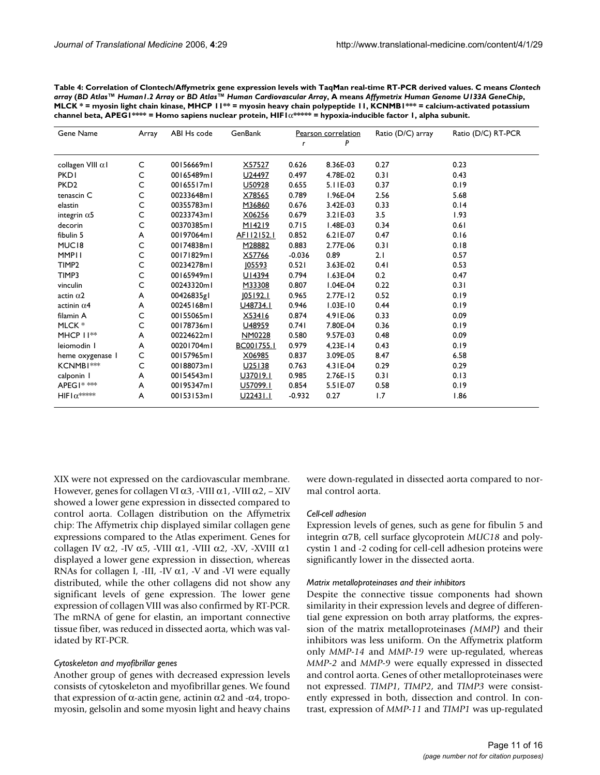| Table 4: Correlation of Clontech/Affymetrix gene expression levels with TagMan real-time RT-PCR derived values. C means Clontech |
|----------------------------------------------------------------------------------------------------------------------------------|
| array (BD Atlas™ Human1.2 Array or BD Atlas™ Human Cardiovascular Array, A means Affymetrix Human Genome U133A GeneChip,         |
| MLCK * = myosin light chain kinase, MHCP     ** = myosin heavy chain polypeptide    , KCNMB   *** = calcium-activated potassium  |
| channel beta, APEGI**** = Homo sapiens nuclear protein, HIFI $\alpha^{***}$ = hypoxia-inducible factor I, alpha subunit.         |

| Gene Name                | Array | ABI Hs code | GenBank    | Pearson correlation |              | Ratio (D/C) array | Ratio (D/C) RT-PCR |
|--------------------------|-------|-------------|------------|---------------------|--------------|-------------------|--------------------|
|                          |       |             |            | $\mathbf{r}$        | P            |                   |                    |
|                          |       | 00156669ml  |            |                     | 8.36E-03     | 0.27              | 0.23               |
| collagen VIII $\alpha$ I | С     |             | X57527     | 0.626               |              |                   |                    |
| <b>PKD1</b>              | C     | 00165489ml  | U24497     | 0.497               | 4.78E-02     | 0.31              | 0.43               |
| PKD <sub>2</sub>         | C     | 00165517ml  | U50928     | 0.655               | 5.11E-03     | 0.37              | 0.19               |
| tenascin C               | С     | 00233648ml  | X78565     | 0.789               | I.96E-04     | 2.56              | 5.68               |
| elastin                  | C     | 00355783ml  | M36860     | 0.676               | 3.42E-03     | 0.33              | 0.14               |
| integrin $\alpha$ 5      | С     | 00233743ml  | X06256     | 0.679               | $3.21E-03$   | 3.5               | 1.93               |
| decorin                  | C     | 00370385ml  | M14219     | 0.715               | I.48E-03     | 0.34              | 0.61               |
| fibulin 5                | A     | 00197064ml  | AF112152.1 | 0.852               | $6.21E-07$   | 0.47              | 0.16               |
| MUC18                    | C     | 00174838ml  | M28882     | 0.883               | 2.77E-06     | 0.31              | 0.18               |
| MMPI1                    | С     | 00171829ml  | X57766     | $-0.036$            | 0.89         | 2.1               | 0.57               |
| TIMP <sub>2</sub>        | C     | 00234278ml  | 105593     | 0.521               | 3.63E-02     | 0.41              | 0.53               |
| TIMP3                    | С     | 00165949ml  | U14394     | 0.794               | $1.63E-04$   | 0.2               | 0.47               |
| vinculin                 | C     | 00243320ml  | M33308     | 0.807               | I.04E-04     | 0.22              | 0.31               |
| actin $\alpha$ 2         | A     | 00426835gl  | 05192.1    | 0.965               | 2.77E-12     | 0.52              | 0.19               |
| actinin $\alpha$ 4       | A     | 00245168ml  | U48734.1   | 0.946               | $1.03E-10$   | 0.44              | 0.19               |
| filamin A                | С     | 00155065ml  | X53416     | 0.874               | 4.91E-06     | 0.33              | 0.09               |
| MLCK *                   | С     | 00178736ml  | U48959     | 0.741               | 7.80E-04     | 0.36              | 0.19               |
| MHCP II <sup>*</sup>     | A     | 00224622ml  | NM0228     | 0.580               | 9.57E-03     | 0.48              | 0.09               |
| leiomodin I              | A     | 00201704ml  | BC001755.1 | 0.979               | $4,23E-14$   | 0.43              | 0.19               |
| heme oxygenase I         | C     | 00157965ml  | X06985     | 0.837               | 3.09E-05     | 8.47              | 6.58               |
| KCNMBI <sup>**</sup>     | C     | 00188073ml  | U25138     | 0.763               | $4.3$ I E-04 | 0.29              | 0.29               |
| calponin I               | A     | 00154543ml  | U37019.1   | 0.985               | 2.76E-15     | 0.31              | 0.13               |
| APEG1* ***               | A     | 00195347ml  | U57099.L   | 0.854               | 5.51E-07     | 0.58              | 0.19               |
| $HIFI\alpha^{*pt+**}$    | A     | 00153153ml  | U22431.1   | $-0.932$            | 0.27         | 1.7               | 1.86               |

XIX were not expressed on the cardiovascular membrane. However, genes for collagen VI  $\alpha$ 3, -VIII  $\alpha$ 1, -VIII  $\alpha$ 2, - XIV showed a lower gene expression in dissected compared to control aorta. Collagen distribution on the Affymetrix chip: The Affymetrix chip displayed similar collagen gene expressions compared to the Atlas experiment. Genes for collagen IV α2, -IV α5, -VIII α1, -VIII α2, -XV, -XVIII α1 displayed a lower gene expression in dissection, whereas RNAs for collagen I, -III, -IV  $\alpha$ 1, -V and -VI were equally distributed, while the other collagens did not show any significant levels of gene expression. The lower gene expression of collagen VIII was also confirmed by RT-PCR. The mRNA of gene for elastin, an important connective tissue fiber, was reduced in dissected aorta, which was validated by RT-PCR.

#### *Cytoskeleton and myofibrillar genes*

Another group of genes with decreased expression levels consists of cytoskeleton and myofibrillar genes. We found that expression of  $α$ -actin gene, actinin  $α2$  and - $α4$ , tropomyosin, gelsolin and some myosin light and heavy chains were down-regulated in dissected aorta compared to normal control aorta.

#### *Cell-cell adhesion*

Expression levels of genes, such as gene for fibulin 5 and integrin α7B, cell surface glycoprotein *MUC18* and polycystin 1 and -2 coding for cell-cell adhesion proteins were significantly lower in the dissected aorta.

#### *Matrix metalloproteinases and their inhibitors*

Despite the connective tissue components had shown similarity in their expression levels and degree of differential gene expression on both array platforms, the expression of the matrix metalloproteinases *(MMP)* and their inhibitors was less uniform. On the Affymetrix platform only *MMP-14* and *MMP-19* were up-regulated, whereas *MMP-2* and *MMP-9* were equally expressed in dissected and control aorta. Genes of other metalloproteinases were not expressed. *TIMP1*, *TIMP2*, and *TIMP3* were consistently expressed in both, dissection and control. In contrast, expression of *MMP-11* and *TIMP1* was up-regulated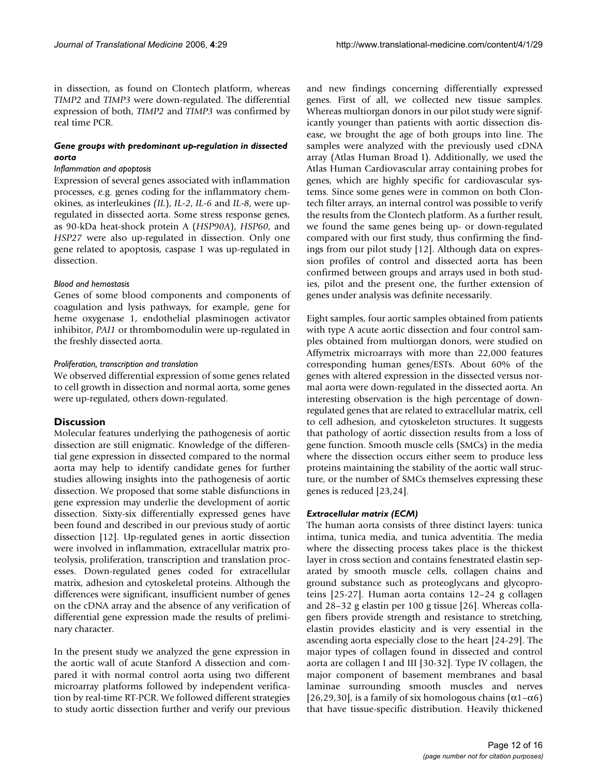in dissection, as found on Clontech platform, whereas *TIMP2* and *TIMP3* were down-regulated. The differential expression of both, *TIMP2* and *TIMP3* was confirmed by real time PCR.

#### *Gene groups with predominant up-regulation in dissected aorta*

#### *Inflammation and apoptosis*

Expression of several genes associated with inflammation processes, e.g. genes coding for the inflammatory chemokines, as interleukines *(IL*), *IL-2*, *IL-6* and *IL-8*, were upregulated in dissected aorta. Some stress response genes, as 90-kDa heat-shock protein A (*HSP90A*), *HSP60*, and *HSP27* were also up-regulated in dissection. Only one gene related to apoptosis, caspase 1 was up-regulated in dissection.

#### *Blood and hemostasis*

Genes of some blood components and components of coagulation and lysis pathways, for example, gene for heme oxygenase 1, endothelial plasminogen activator inhibitor, *PAI1* or thrombomodulin were up-regulated in the freshly dissected aorta.

#### *Proliferation, transcription and translation*

We observed differential expression of some genes related to cell growth in dissection and normal aorta, some genes were up-regulated, others down-regulated.

#### **Discussion**

Molecular features underlying the pathogenesis of aortic dissection are still enigmatic. Knowledge of the differential gene expression in dissected compared to the normal aorta may help to identify candidate genes for further studies allowing insights into the pathogenesis of aortic dissection. We proposed that some stable disfunctions in gene expression may underlie the development of aortic dissection. Sixty-six differentially expressed genes have been found and described in our previous study of aortic dissection [12]. Up-regulated genes in aortic dissection were involved in inflammation, extracellular matrix proteolysis, proliferation, transcription and translation processes. Down-regulated genes coded for extracellular matrix, adhesion and cytoskeletal proteins. Although the differences were significant, insufficient number of genes on the cDNA array and the absence of any verification of differential gene expression made the results of preliminary character.

In the present study we analyzed the gene expression in the aortic wall of acute Stanford A dissection and compared it with normal control aorta using two different microarray platforms followed by independent verification by real-time RT-PCR. We followed different strategies to study aortic dissection further and verify our previous and new findings concerning differentially expressed genes. First of all, we collected new tissue samples. Whereas multiorgan donors in our pilot study were significantly younger than patients with aortic dissection disease, we brought the age of both groups into line. The samples were analyzed with the previously used cDNA array (Atlas Human Broad I). Additionally, we used the Atlas Human Cardiovascular array containing probes for genes, which are highly specific for cardiovascular systems. Since some genes were in common on both Clontech filter arrays, an internal control was possible to verify the results from the Clontech platform. As a further result, we found the same genes being up- or down-regulated compared with our first study, thus confirming the findings from our pilot study [12]. Although data on expression profiles of control and dissected aorta has been confirmed between groups and arrays used in both studies, pilot and the present one, the further extension of genes under analysis was definite necessarily.

Eight samples, four aortic samples obtained from patients with type A acute aortic dissection and four control samples obtained from multiorgan donors, were studied on Affymetrix microarrays with more than 22,000 features corresponding human genes/ESTs. About 60% of the genes with altered expression in the dissected versus normal aorta were down-regulated in the dissected aorta. An interesting observation is the high percentage of downregulated genes that are related to extracellular matrix, cell to cell adhesion, and cytoskeleton structures. It suggests that pathology of aortic dissection results from a loss of gene function. Smooth muscle cells (SMCs) in the media where the dissection occurs either seem to produce less proteins maintaining the stability of the aortic wall structure, or the number of SMCs themselves expressing these genes is reduced [23,24].

#### *Extracellular matrix (ECM)*

The human aorta consists of three distinct layers: tunica intima, tunica media, and tunica adventitia. The media where the dissecting process takes place is the thickest layer in cross section and contains fenestrated elastin separated by smooth muscle cells, collagen chains and ground substance such as proteoglycans and glycoproteins [25-27]. Human aorta contains 12–24 g collagen and 28–32 g elastin per 100 g tissue [26]. Whereas collagen fibers provide strength and resistance to stretching, elastin provides elasticity and is very essential in the ascending aorta especially close to the heart [24-29]. The major types of collagen found in dissected and control aorta are collagen I and III [30-32]. Type IV collagen, the major component of basement membranes and basal laminae surrounding smooth muscles and nerves [26,29,30], is a family of six homologous chains  $(\alpha1-\alpha6)$ ] that have tissue-specific distribution. Heavily thickened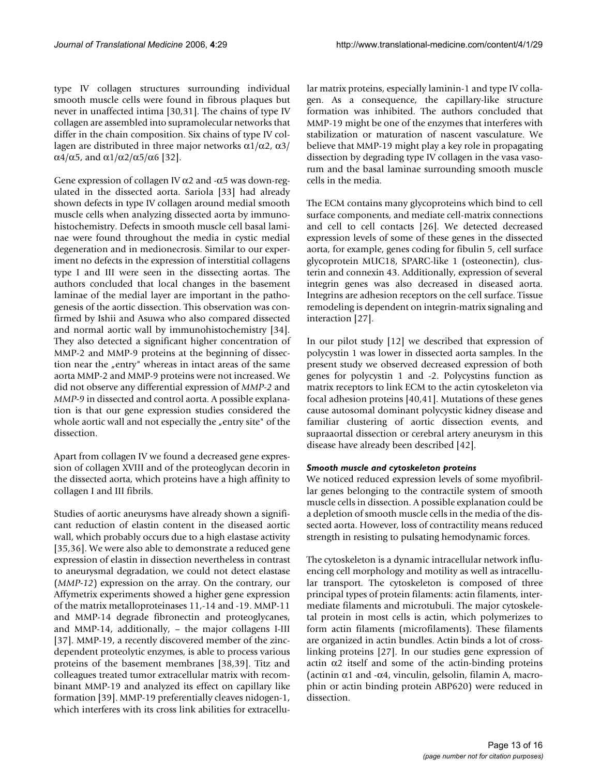type IV collagen structures surrounding individual smooth muscle cells were found in fibrous plaques but never in unaffected intima [30,31]. The chains of type IV collagen are assembled into supramolecular networks that differ in the chain composition. Six chains of type IV collagen are distributed in three major networks  $\alpha$ 1/α2, α3/  $\alpha$ 4/α5, and  $\alpha$ 1/α2/α5/α6 [32].

Gene expression of collagen IV  $\alpha$ 2 and - $\alpha$ 5 was down-regulated in the dissected aorta. Sariola [33] had already shown defects in type IV collagen around medial smooth muscle cells when analyzing dissected aorta by immunohistochemistry. Defects in smooth muscle cell basal laminae were found throughout the media in cystic medial degeneration and in medionecrosis. Similar to our experiment no defects in the expression of interstitial collagens type I and III were seen in the dissecting aortas. The authors concluded that local changes in the basement laminae of the medial layer are important in the pathogenesis of the aortic dissection. This observation was confirmed by Ishii and Asuwa who also compared dissected and normal aortic wall by immunohistochemistry [34]. They also detected a significant higher concentration of MMP-2 and MMP-9 proteins at the beginning of dissection near the "entry" whereas in intact areas of the same aorta MMP-2 and MMP-9 proteins were not increased. We did not observe any differential expression of *MMP-2* and *MMP-9* in dissected and control aorta. A possible explanation is that our gene expression studies considered the whole aortic wall and not especially the "entry site" of the dissection.

Apart from collagen IV we found a decreased gene expression of collagen XVIII and of the proteoglycan decorin in the dissected aorta, which proteins have a high affinity to collagen I and III fibrils.

Studies of aortic aneurysms have already shown a significant reduction of elastin content in the diseased aortic wall, which probably occurs due to a high elastase activity [35,36]. We were also able to demonstrate a reduced gene expression of elastin in dissection nevertheless in contrast to aneurysmal degradation, we could not detect elastase (*MMP-12*) expression on the array. On the contrary, our Affymetrix experiments showed a higher gene expression of the matrix metalloproteinases 11,-14 and -19. MMP-11 and MMP-14 degrade fibronectin and proteoglycanes, and MMP-14, additionally, – the major collagens I-III [37]. MMP-19, a recently discovered member of the zincdependent proteolytic enzymes, is able to process various proteins of the basement membranes [38,39]. Titz and colleagues treated tumor extracellular matrix with recombinant MMP-19 and analyzed its effect on capillary like formation [39]. MMP-19 preferentially cleaves nidogen-1, which interferes with its cross link abilities for extracellular matrix proteins, especially laminin-1 and type IV collagen. As a consequence, the capillary-like structure formation was inhibited. The authors concluded that MMP-19 might be one of the enzymes that interferes with stabilization or maturation of nascent vasculature. We believe that MMP-19 might play a key role in propagating dissection by degrading type IV collagen in the vasa vasorum and the basal laminae surrounding smooth muscle cells in the media.

The ECM contains many glycoproteins which bind to cell surface components, and mediate cell-matrix connections and cell to cell contacts [26]. We detected decreased expression levels of some of these genes in the dissected aorta, for example, genes coding for fibulin 5, cell surface glycoprotein MUC18, SPARC-like 1 (osteonectin), clusterin and connexin 43. Additionally, expression of several integrin genes was also decreased in diseased aorta. Integrins are adhesion receptors on the cell surface. Tissue remodeling is dependent on integrin-matrix signaling and interaction [27].

In our pilot study [12] we described that expression of polycystin 1 was lower in dissected aorta samples. In the present study we observed decreased expression of both genes for polycystin 1 and -2. Polycystins function as matrix receptors to link ECM to the actin cytoskeleton via focal adhesion proteins [40,41]. Mutations of these genes cause autosomal dominant polycystic kidney disease and familiar clustering of aortic dissection events, and supraaortal dissection or cerebral artery aneurysm in this disease have already been described [42].

#### *Smooth muscle and cytoskeleton proteins*

We noticed reduced expression levels of some myofibrillar genes belonging to the contractile system of smooth muscle cells in dissection. A possible explanation could be a depletion of smooth muscle cells in the media of the dissected aorta. However, loss of contractility means reduced strength in resisting to pulsating hemodynamic forces.

The cytoskeleton is a dynamic intracellular network influencing cell morphology and motility as well as intracellular transport. The cytoskeleton is composed of three principal types of protein filaments: actin filaments, intermediate filaments and microtubuli. The major cytoskeletal protein in most cells is actin, which polymerizes to form actin filaments (microfilaments). These filaments are organized in actin bundles. Actin binds a lot of crosslinking proteins [27]. In our studies gene expression of actin  $\alpha$ 2 itself and some of the actin-binding proteins (actinin α1 and -α4, vinculin, gelsolin, filamin A, macrophin or actin binding protein ABP620) were reduced in dissection.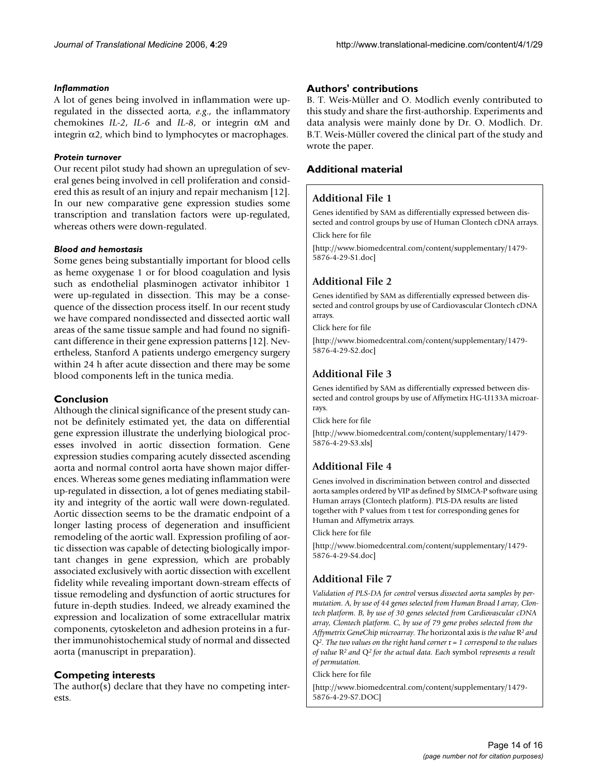#### *Inflammation*

A lot of genes being involved in inflammation were upregulated in the dissected aorta, *e.g*., the inflammatory chemokines *IL-2*, *IL-6* and *IL-8*, or integrin αM and integrin  $\alpha$ 2, which bind to lymphocytes or macrophages.

#### *Protein turnover*

Our recent pilot study had shown an upregulation of several genes being involved in cell proliferation and considered this as result of an injury and repair mechanism [12]. In our new comparative gene expression studies some transcription and translation factors were up-regulated, whereas others were down-regulated.

#### *Blood and hemostasis*

Some genes being substantially important for blood cells as heme oxygenase 1 or for blood coagulation and lysis such as endothelial plasminogen activator inhibitor 1 were up-regulated in dissection. This may be a consequence of the dissection process itself. In our recent study we have compared nondissected and dissected aortic wall areas of the same tissue sample and had found no significant difference in their gene expression patterns [12]. Nevertheless, Stanford A patients undergo emergency surgery within 24 h after acute dissection and there may be some blood components left in the tunica media.

#### **Conclusion**

Although the clinical significance of the present study cannot be definitely estimated yet, the data on differential gene expression illustrate the underlying biological processes involved in aortic dissection formation. Gene expression studies comparing acutely dissected ascending aorta and normal control aorta have shown major differences. Whereas some genes mediating inflammation were up-regulated in dissection, a lot of genes mediating stability and integrity of the aortic wall were down-regulated. Aortic dissection seems to be the dramatic endpoint of a longer lasting process of degeneration and insufficient remodeling of the aortic wall. Expression profiling of aortic dissection was capable of detecting biologically important changes in gene expression, which are probably associated exclusively with aortic dissection with excellent fidelity while revealing important down-stream effects of tissue remodeling and dysfunction of aortic structures for future in-depth studies. Indeed, we already examined the expression and localization of some extracellular matrix components, cytoskeleton and adhesion proteins in a further immunohistochemical study of normal and dissected aorta (manuscript in preparation).

#### **Competing interests**

The author(s) declare that they have no competing interests.

#### **Authors' contributions**

B. T. Weis-Müller and O. Modlich evenly contributed to this study and share the first-authorship. Experiments and data analysis were mainly done by Dr. O. Modlich. Dr. B.T. Weis-Müller covered the clinical part of the study and wrote the paper.

#### **Additional material**

## **Additional File 1**

Genes identified by SAM as differentially expressed between dissected and control groups by use of Human Clontech cDNA arrays*.*

Click here for file

[\[http://www.biomedcentral.com/content/supplementary/1479-](http://www.biomedcentral.com/content/supplementary/1479-5876-4-29-S1.doc) 5876-4-29-S1.doc]

# **Additional File 2**

Genes identified by SAM as differentially expressed between dissected and control groups by use of Cardiovascular Clontech cDNA arrays*.*

Click here for file

[\[http://www.biomedcentral.com/content/supplementary/1479-](http://www.biomedcentral.com/content/supplementary/1479-5876-4-29-S2.doc) 5876-4-29-S2.doc]

# **Additional File 3**

Genes identified by SAM as differentially expressed between dissected and control groups by use of Affymetirx HG-U133A microarrays*.*

Click here for file

[\[http://www.biomedcentral.com/content/supplementary/1479-](http://www.biomedcentral.com/content/supplementary/1479-5876-4-29-S3.xls) 5876-4-29-S3.xls]

# **Additional File 4**

Genes involved in discrimination between control and dissected aorta samples ordered by VIP as defined by SIMCA-P software using Human arrays (Clontech platform). PLS-DA results are listed together with P values from t test for corresponding genes for Human and Affymetrix arrays*.*

Click here for file

[\[http://www.biomedcentral.com/content/supplementary/1479-](http://www.biomedcentral.com/content/supplementary/1479-5876-4-29-S4.doc) 5876-4-29-S4.doc]

# **Additional File 7**

*Validation of PLS-DA for control* versus *dissected aorta samples by permutation. A, by use of 44 genes selected from Human Broad I array, Clontech platform. B, by use of 30 genes selected from Cardiovascular cDNA array, Clontech platform. C, by use of 79 gene probes selected from the Affymetrix GeneChip microarray. The* horizontal axis *is the value* R*2 and*  Q*2. The two values on the right hand corner* r *= 1 correspond to the values of value* R*2 and* Q*2 for the actual data. Each* symbol *represents a result of permutation.*

Click here for file

[\[http://www.biomedcentral.com/content/supplementary/1479-](http://www.biomedcentral.com/content/supplementary/1479-5876-4-29-S7.DOC) 5876-4-29-S7.DOC]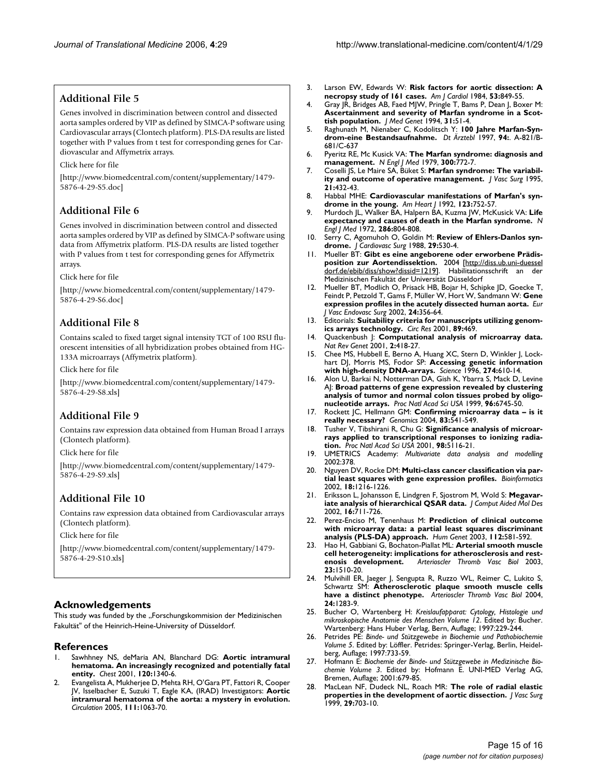#### **Additional File 5**

Genes involved in discrimination between control and dissected aorta samples ordered by VIP as defined by SIMCA-P software using Cardiovascular arrays (Clontech platform). PLS-DA results are listed together with P values from t test for corresponding genes for Cardiovascular and Affymetrix arrays*.*

#### Click here for file

[\[http://www.biomedcentral.com/content/supplementary/1479-](http://www.biomedcentral.com/content/supplementary/1479-5876-4-29-S5.doc) 5876-4-29-S5.doc]

### **Additional File 6**

Genes involved in discrimination between control and dissected aorta samples ordered by VIP as defined by SIMCA-P software using data from Affymetrix platform. PLS-DA results are listed together with P values from t test for corresponding genes for Affymetrix arrays*.*

#### Click here for file

[\[http://www.biomedcentral.com/content/supplementary/1479-](http://www.biomedcentral.com/content/supplementary/1479-5876-4-29-S6.doc) 5876-4-29-S6.doc]

#### **Additional File 8**

Contains scaled to fixed target signal intensity TGT of 100 RSU fluorescent intensities of all hybridization probes obtained from HG-133A microarrays (Affymetrix platform)*.*

#### Click here for file

[\[http://www.biomedcentral.com/content/supplementary/1479-](http://www.biomedcentral.com/content/supplementary/1479-5876-4-29-S8.xls) 5876-4-29-S8.xls]

#### **Additional File 9**

Contains raw expression data obtained from Human Broad I arrays (Clontech platform)*.*

Click here for file

[\[http://www.biomedcentral.com/content/supplementary/1479-](http://www.biomedcentral.com/content/supplementary/1479-5876-4-29-S9.xls) 5876-4-29-S9.xls]

#### **Additional File 10**

Contains raw expression data obtained from Cardiovascular arrays (Clontech platform)*.*

Click here for file

[\[http://www.biomedcentral.com/content/supplementary/1479-](http://www.biomedcentral.com/content/supplementary/1479-5876-4-29-S10.xls) 5876-4-29-S10.xls]

#### **Acknowledgements**

This study was funded by the "Forschungskommision der Medizinischen Fakultät" of the Heinrich-Heine-University of Düsseldorf.

#### **References**

- 1. Sawhhney NS, deMaria AN, Blanchard DG: **[Aortic intramural](http://www.ncbi.nlm.nih.gov/entrez/query.fcgi?cmd=Retrieve&db=PubMed&dopt=Abstract&list_uids=11591580) [hematoma. An increasingly recognized and potentially fatal](http://www.ncbi.nlm.nih.gov/entrez/query.fcgi?cmd=Retrieve&db=PubMed&dopt=Abstract&list_uids=11591580) [entity.](http://www.ncbi.nlm.nih.gov/entrez/query.fcgi?cmd=Retrieve&db=PubMed&dopt=Abstract&list_uids=11591580)** *Chest* 2001, **120:**1340-6.
- 2. Evangelista A, Mukherjee D, Mehta RH, O'Gara PT, Fattori R, Cooper JV, Isselbacher E, Suzuki T, Eagle KA, (IRAD) Investigators: **[Aortic](http://www.ncbi.nlm.nih.gov/entrez/query.fcgi?cmd=Retrieve&db=PubMed&dopt=Abstract&list_uids=15710757) [intramural hematoma of the aorta: a mystery in evolution.](http://www.ncbi.nlm.nih.gov/entrez/query.fcgi?cmd=Retrieve&db=PubMed&dopt=Abstract&list_uids=15710757)** *Circulation* 2005, **111:**1063-70.
- 3. Larson EW, Edwards W: **[Risk factors for aortic dissection: A](http://www.ncbi.nlm.nih.gov/entrez/query.fcgi?cmd=Retrieve&db=PubMed&dopt=Abstract&list_uids=6702637) [necropsy study of 161 cases.](http://www.ncbi.nlm.nih.gov/entrez/query.fcgi?cmd=Retrieve&db=PubMed&dopt=Abstract&list_uids=6702637)** *Am J Cardiol* 1984, **53:**849-55.
- 4. Gray JR, Bridges AB, Faed MJW, Pringle T, Bams P, Dean J, Boxer M: **[Ascertainment and severity of Marfan syndrome in a Scot](http://www.ncbi.nlm.nih.gov/entrez/query.fcgi?cmd=Retrieve&db=PubMed&dopt=Abstract&list_uids=8151638)[tish population.](http://www.ncbi.nlm.nih.gov/entrez/query.fcgi?cmd=Retrieve&db=PubMed&dopt=Abstract&list_uids=8151638)** *J Med Genet* 1994, **31:**51-4.
- 5. Raghunath M, Nienaber C, Kodolitsch Y: **100 Jahre Marfan-Syndrom-eine Bestandsaufnahme.** *Dt Ärztebl* 1997, **94:**. A-821/B-681/C-637
- 6. Pyeritz RE, Mc Kusick VA: **[The Marfan syndrome: diagnosis and](http://www.ncbi.nlm.nih.gov/entrez/query.fcgi?cmd=Retrieve&db=PubMed&dopt=Abstract&list_uids=370588) [management.](http://www.ncbi.nlm.nih.gov/entrez/query.fcgi?cmd=Retrieve&db=PubMed&dopt=Abstract&list_uids=370588)** *N Engl J Med* 1979, **300:**772-7.
- 7. Coselli JS, Le Maire SA, Büket S: **[Marfan syndrome: The variabil](http://www.ncbi.nlm.nih.gov/entrez/query.fcgi?cmd=Retrieve&db=PubMed&dopt=Abstract&list_uids=7877225)[ity and outcome of operative management.](http://www.ncbi.nlm.nih.gov/entrez/query.fcgi?cmd=Retrieve&db=PubMed&dopt=Abstract&list_uids=7877225)** *J Vasc Surg* 1995, **21:**432-43.
- 8. Habbal MHE: **[Cardiovascular manifestations of Marfan's syn](http://www.ncbi.nlm.nih.gov/entrez/query.fcgi?cmd=Retrieve&db=PubMed&dopt=Abstract&list_uids=1539527)[drome in the young.](http://www.ncbi.nlm.nih.gov/entrez/query.fcgi?cmd=Retrieve&db=PubMed&dopt=Abstract&list_uids=1539527)** *Am Heart J* 1992, **123:**752-57.
- 9. Murdoch JL, Walker BA, Halpern BA, Kuzma JW, McKusick VA: **[Life](http://www.ncbi.nlm.nih.gov/entrez/query.fcgi?cmd=Retrieve&db=PubMed&dopt=Abstract&list_uids=5011789) [expectancy and causes of death in the Marfan syndrome.](http://www.ncbi.nlm.nih.gov/entrez/query.fcgi?cmd=Retrieve&db=PubMed&dopt=Abstract&list_uids=5011789)** *N Engl J Med* 1972, **286:**804-808.
- 10. Serry C, Agomuhoh O, Goldin M: **Review of Ehlers-Danlos syndrome.** *J Cardiovasc Surg* 1988, **29:**530-4.
- 11. Mueller BT: **Gibt es eine angeborene oder erworbene Prädisposition zur Aortendissektion.** 2004 [[http://diss.ub.uni-duessel](http://diss.ub.uni-duesseldorf.de/ebib/diss/show?dissid=1219) [dorf.de/ebib/diss/show?dissid=1219](http://diss.ub.uni-duesseldorf.de/ebib/diss/show?dissid=1219)]. Habilitationsschrift an der Medizinischen Fakultät der Universität Düsseldorf
- 12. Mueller BT, Modlich O, Prisack HB, Bojar H, Schipke JD, Goecke T, Feindt P, Petzold T, Gams F, Müller W, Hort W, Sandmann W: **[Gene](http://www.ncbi.nlm.nih.gov/entrez/query.fcgi?cmd=Retrieve&db=PubMed&dopt=Abstract&list_uids=12323180) [expression profiles in the acutely dissected human aorta.](http://www.ncbi.nlm.nih.gov/entrez/query.fcgi?cmd=Retrieve&db=PubMed&dopt=Abstract&list_uids=12323180)** *Eur J Vasc Endovasc Surg* 2002, **24:**356-64.
- 13. Editorials: **Suitability criteria for manuscripts utilizing genomics arrays technology.** *Circ Res* 2001, **89:**469.
- 14. Quackenbush J: **[Computational analysis of microarray data.](http://www.ncbi.nlm.nih.gov/entrez/query.fcgi?cmd=Retrieve&db=PubMed&dopt=Abstract&list_uids=11389458)** *Nat Rev Genet* 2001, **2:**418-27.
- 15. Chee MS, Hubbell E, Berno A, Huang XC, Stern D, Winkler J, Lockhart DJ, Morris MS, Fodor SP: **[Accessing genetic information](http://www.ncbi.nlm.nih.gov/entrez/query.fcgi?cmd=Retrieve&db=PubMed&dopt=Abstract&list_uids=8849452) [with high-density DNA-arrays.](http://www.ncbi.nlm.nih.gov/entrez/query.fcgi?cmd=Retrieve&db=PubMed&dopt=Abstract&list_uids=8849452)** *Science* 1996, **274:**610-14.
- 16. Alon U, Barkai N, Notterman DA, Gish K, Ybarra S, Mack D, Levine AJ: **[Broad patterns of gene expression revealed by clustering](http://www.ncbi.nlm.nih.gov/entrez/query.fcgi?cmd=Retrieve&db=PubMed&dopt=Abstract&list_uids=10359783) [analysis of tumor and normal colon tissues probed by oligo](http://www.ncbi.nlm.nih.gov/entrez/query.fcgi?cmd=Retrieve&db=PubMed&dopt=Abstract&list_uids=10359783)[nucleotide arrays.](http://www.ncbi.nlm.nih.gov/entrez/query.fcgi?cmd=Retrieve&db=PubMed&dopt=Abstract&list_uids=10359783)** *Proc Natl Acad Sci USA* 1999, **96:**6745-50.
- 17. Rockett JC, Hellmann GM: **[Confirming microarray data is it](http://www.ncbi.nlm.nih.gov/entrez/query.fcgi?cmd=Retrieve&db=PubMed&dopt=Abstract&list_uids=15028276) [really necessary?](http://www.ncbi.nlm.nih.gov/entrez/query.fcgi?cmd=Retrieve&db=PubMed&dopt=Abstract&list_uids=15028276)** *Genomics* 2004, **83:**541-549.
- 18. Tusher V, Tibshirani R, Chu G: **[Significance analysis of microar](http://www.ncbi.nlm.nih.gov/entrez/query.fcgi?cmd=Retrieve&db=PubMed&dopt=Abstract&list_uids=11309499)[rays applied to transcriptional responses to ionizing radia](http://www.ncbi.nlm.nih.gov/entrez/query.fcgi?cmd=Retrieve&db=PubMed&dopt=Abstract&list_uids=11309499)[tion.](http://www.ncbi.nlm.nih.gov/entrez/query.fcgi?cmd=Retrieve&db=PubMed&dopt=Abstract&list_uids=11309499)** *Proc Natl Acad Sci USA* 2001, **98:**5116-21.
- 19. UMETRICS Academy: *Multivariate data analysis and modelling* 2002:378.
- 20. Nguyen DV, Rocke DM: **[Multi-class cancer classification via par](http://www.ncbi.nlm.nih.gov/entrez/query.fcgi?cmd=Retrieve&db=PubMed&dopt=Abstract&list_uids=12217913)[tial least squares with gene expression profiles.](http://www.ncbi.nlm.nih.gov/entrez/query.fcgi?cmd=Retrieve&db=PubMed&dopt=Abstract&list_uids=12217913)** *Bioinformatics* 2002, **18:**1216-1226.
- 21. Eriksson L, Johansson E, Lindgren F, Sjostrom M, Wold S: **[Megavar](http://www.ncbi.nlm.nih.gov/entrez/query.fcgi?cmd=Retrieve&db=PubMed&dopt=Abstract&list_uids=12650589)[iate analysis of hierarchical QSAR data.](http://www.ncbi.nlm.nih.gov/entrez/query.fcgi?cmd=Retrieve&db=PubMed&dopt=Abstract&list_uids=12650589)** *J Comput Aided Mol Des* 2002, **16:**711-726.
- 22. Perez-Enciso M, Tenenhaus M: **[Prediction of clinical outcome](http://www.ncbi.nlm.nih.gov/entrez/query.fcgi?cmd=Retrieve&db=PubMed&dopt=Abstract&list_uids=12607117) [with microarray data: a partial least squares discriminant](http://www.ncbi.nlm.nih.gov/entrez/query.fcgi?cmd=Retrieve&db=PubMed&dopt=Abstract&list_uids=12607117) [analysis \(PLS-DA\) approach.](http://www.ncbi.nlm.nih.gov/entrez/query.fcgi?cmd=Retrieve&db=PubMed&dopt=Abstract&list_uids=12607117)** *Hum Genet* 2003, **112:**581-592.
- 23. Hao H, Gabbiani G, Bochaton-Piallat ML: **[Arterial smooth muscle](http://www.ncbi.nlm.nih.gov/entrez/query.fcgi?cmd=Retrieve&db=PubMed&dopt=Abstract&list_uids=12907463) [cell heterogeneity: implications for atherosclerosis and rest](http://www.ncbi.nlm.nih.gov/entrez/query.fcgi?cmd=Retrieve&db=PubMed&dopt=Abstract&list_uids=12907463)[enosis development.](http://www.ncbi.nlm.nih.gov/entrez/query.fcgi?cmd=Retrieve&db=PubMed&dopt=Abstract&list_uids=12907463)** *Arterioscler Thromb Vasc Biol* 2003, **23:**1510-20.
- 24. Mulvihill ER, Jaeger J, Sengupta R, Ruzzo WL, Reimer C, Lukito S, Schwartz SM: **[Atherosclerotic plaque smooth muscle cells](http://www.ncbi.nlm.nih.gov/entrez/query.fcgi?cmd=Retrieve&db=PubMed&dopt=Abstract&list_uids=15142862) [have a distinct phenotype.](http://www.ncbi.nlm.nih.gov/entrez/query.fcgi?cmd=Retrieve&db=PubMed&dopt=Abstract&list_uids=15142862)** *Arterioscler Thromb Vasc Biol* 2004, **24:**1283-9.
- 25. Bucher O, Wartenberg H: *Kreislaufapparat: Cytology, Histologie und mikroskopische Anatomie des Menschen Volume 12*. Edited by: Bucher. Wartenberg: Hans Huber Verlag, Bern, Auflage; 1997:229-244.
- 26. Petrides PE: *Binde- und Stützgewebe in Biochemie und Pathobiochemie Volume 5*. Edited by: Löffler. Petrides: Springer-Verlag, Berlin, Heidelberg, Auflage; 1997:733-59.
- 27. Hofmann E: *Biochemie der Binde- und Stützgewebe in Medizinische Biochemie Volume 3*. Edited by: Hofmann E. UNI-MED Verlag AG, Bremen, Auflage; 2001:679-85.
- 28. MacLean NF, Dudeck NL, Roach MR: **[The role of radial elastic](http://www.ncbi.nlm.nih.gov/entrez/query.fcgi?cmd=Retrieve&db=PubMed&dopt=Abstract&list_uids=10194499) [properties in the development of aortic dissection.](http://www.ncbi.nlm.nih.gov/entrez/query.fcgi?cmd=Retrieve&db=PubMed&dopt=Abstract&list_uids=10194499)** *J Vasc Surg* 1999, **29:**703-10.